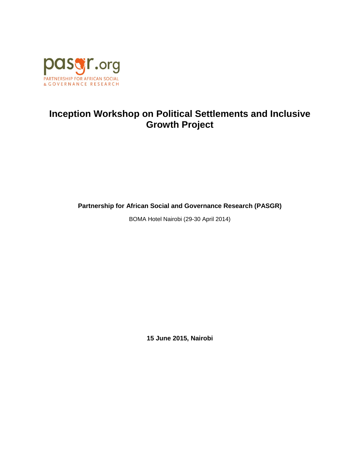

# **Inception Workshop on Political Settlements and Inclusive Growth Project**

**Partnership for African Social and Governance Research (PASGR)**

BOMA Hotel Nairobi (29-30 April 2014)

**15 June 2015, Nairobi**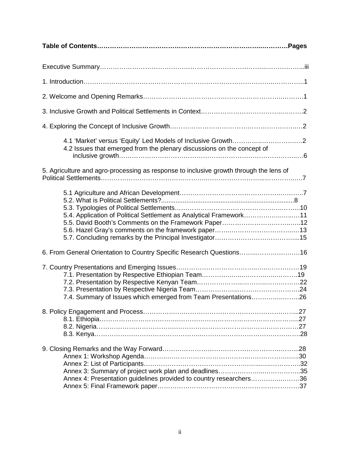| 4.2 Issues that emerged from the plenary discussions on the concept of                 |
|----------------------------------------------------------------------------------------|
| 5. Agriculture and agro-processing as response to inclusive growth through the lens of |
| 5.4. Application of Political Settlement as Analytical Framework11                     |
| 6. From General Orientation to Country Specific Research Questions16                   |
| 7.4. Summary of Issues which emerged from Team Presentations26                         |
|                                                                                        |
| Annex 4: Presentation guidelines provided to country researchers36                     |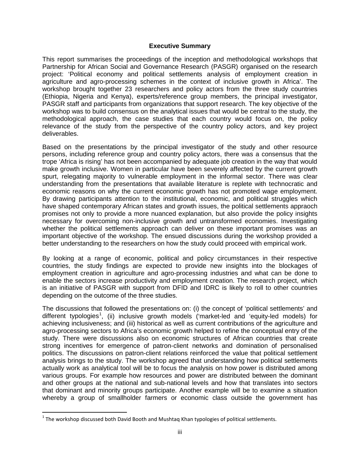#### **Executive Summary**

This report summarises the proceedings of the inception and methodological workshops that Partnership for African Social and Governance Research (PASGR) organised on the research project: 'Political economy and political settlements analysis of employment creation in agriculture and agro-processing schemes in the context of inclusive growth in Africa'. The workshop brought together 23 researchers and policy actors from the three study countries (Ethiopia, Nigeria and Kenya), experts/reference group members, the principal investigator, PASGR staff and participants from organizations that support research. The key objective of the workshop was to build consensus on the analytical issues that would be central to the study, the methodological approach, the case studies that each country would focus on, the policy relevance of the study from the perspective of the country policy actors, and key project deliverables.

Based on the presentations by the principal investigator of the study and other resource persons, including reference group and country policy actors, there was a consensus that the trope 'Africa is rising' has not been accompanied by adequate job creation in the way that would make growth inclusive. Women in particular have been severely affected by the current growth spurt, relegating majority to vulnerable employment in the informal sector. There was clear understanding from the presentations that available literature is replete with technocratic and economic reasons on why the current economic growth has not promoted wage employment. By drawing participants attention to the institutional, economic, and political struggles which have shaped contemporary African states and growth issues, the political settlements appraoch promises not only to provide a more nuanced explanation, but also provide the policy insights necessary for overcoming non-inclusive growth and untransformed economies. Investigating whether the political settlements approach can deliver on these important promises was an important objective of the workshop. The ensued discussions during the workshop provided a better understanding to the researchers on how the study could proceed with empirical work.

By looking at a range of economic, political and policy circumstances in their respective countries, the study findings are expected to provide new insights into the blockages of employment creation in agriculture and agro-processing industries and what can be done to enable the sectors increase productivity and employment creation. The research project, which is an initiative of PASGR with support from DFID and IDRC is likely to roll to other countries depending on the outcome of the three studies.

The discussions that followed the presentations on: (i) the concept of 'political settlements' and different typologies<sup>[1](#page-2-0)</sup>, (ii) inclusive growth models ('market-led and 'equity-led models) for achieving inclusiveness; and (iii) historical as well as current contributions of the agriculture and agro-processing sectors to Africa's economic growth helped to refine the conceptual entry of the study. There were discussions also on economic structures of African countries that create strong incentives for emergence of patron-client networks and domination of personalised politics. The discussions on patron-client relations reinforced the value that political settlement analysis brings to the study. The workshop agreed that understanding how political settlements actually work as analytical tool will be to focus the analysis on how power is distributed among various groups. For example how resources and power are distributed between the dominant and other groups at the national and sub-national levels and how that translates into sectors that dominant and minority groups participate. Another example will be to examine a situation whereby a group of smallholder farmers or economic class outside the government has

<span id="page-2-0"></span> $1$  The workshop discussed both David Booth and Mushtaq Khan typologies of political settlements.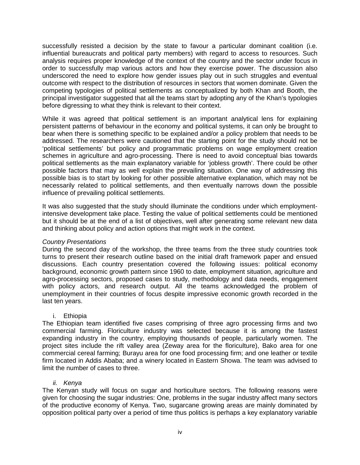successfully resisted a decision by the state to favour a particular dominant coalition (i.e. influential bureaucrats and political party members) with regard to access to resources. Such analysis requires proper knowledge of the context of the country and the sector under focus in order to successfully map various actors and how they exercise power. The discussion also underscored the need to explore how gender issues play out in such struggles and eventual outcome with respect to the distribution of resources in sectors that women dominate. Given the competing typologies of political settlements as conceptualized by both Khan and Booth, the principal investigator suggested that all the teams start by adopting any of the Khan's typologies before digressing to what they think is relevant to their context.

While it was agreed that political settlement is an important analytical lens for explaining persistent patterns of behaviour in the economy and political systems, it can only be brought to bear when there is something specific to be explained and/or a policy problem that needs to be addressed. The researchers were cautioned that the starting point for the study should not be 'political settlements' but policy and programmatic problems on wage employment creation schemes in agriculture and agro-processing. There is need to avoid conceptual bias towards political settlements as the main explanatory variable for 'jobless growth'. There could be other possible factors that may as well explain the prevailing situation. One way of addressing this possible bias is to start by looking for other possible alternative explanation, which may not be necessarily related to political settlements, and then eventually narrows down the possible influence of prevailing political settlements.

It was also suggested that the study should illuminate the conditions under which employmentintensive development take place. Testing the value of political settlements could be mentioned but it should be at the end of a list of objectives, well after generating some relevant new data and thinking about policy and action options that might work in the context.

# *Country Presentations*

During the second day of the workshop, the three teams from the three study countries took turns to present their research outline based on the initial draft framework paper and ensued discussions. Each country presentation covered the following issues: political economy background, economic growth pattern since 1960 to date, employment situation, agriculture and agro-processing sectors, proposed cases to study, methodology and data needs, engagement with policy actors, and research output. All the teams acknowledged the problem of unemployment in their countries of focus despite impressive economic growth recorded in the last ten years.

# i. Ethiopia

The Ethiopian team identified five cases comprising of three agro processing firms and two commercial farming. Floriculture industry was selected because it is among the fastest expanding industry in the country, employing thousands of people, particularly women. The project sites include the rift valley area (Zeway area for the floriculture), Bako area for one commercial cereal farming; Burayu area for one food processing firm; and one leather or textile firm located in Addis Ababa; and a winery located in Eastern Showa. The team was advised to limit the number of cases to three.

#### *ii. Kenya*

The Kenyan study will focus on sugar and horticulture sectors. The following reasons were given for choosing the sugar industries: One, problems in the sugar industry affect many sectors of the productive economy of Kenya. Two, sugarcane growing areas are mainly dominated by opposition political party over a period of time thus politics is perhaps a key explanatory variable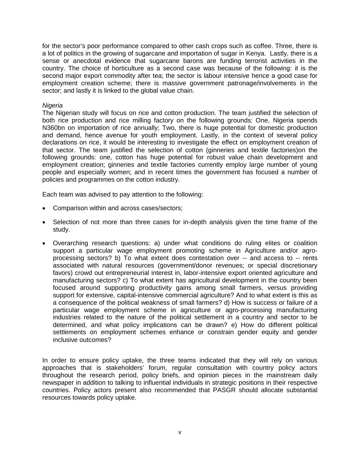for the sector's poor performance compared to other cash crops such as coffee. Three, there is a lot of politics in the growing of sugarcane and importation of sugar in Kenya. Lastly, there is a sense or anecdotal evidence that sugarcane barons are funding terrorist activities in the country. The choice of horticulture as a second case was because of the following: it is the second major export commodity after tea; the sector is labour intensive hence a good case for employment creation scheme; there is massive government patronage/involvements in the sector; and lastly it is linked to the global value chain.

#### *Nigeria*

The Nigerian study will focus on rice and cotton production. The team justified the selection of both rice production and rice milling factory on the following grounds: One, Nigeria spends N360bn on importation of rice annually; Two, there is huge potential for domestic production and demand, hence avenue for youth employment. Lastly, in the context of several policy declarations on rice, it would be interesting to investigate the effect on employment creation of that sector. The team justified the selection of cotton (ginneries and textile factories)on the following grounds: one, cotton has huge potential for robust value chain development and employment creation; ginneries and textile factories currently employ large number of young people and especially women; and in recent times the government has focused a number of policies and programmes on the cotton industry.

Each team was advised to pay attention to the following:

- Comparison within and across cases/sectors;
- Selection of not more than three cases for in-depth analysis given the time frame of the study.
- Overarching research questions: a) under what conditions do ruling elites or coalition support a particular wage employment promoting scheme in Agriculture and/or agroprocessing sectors? b) To what extent does contestation over -- and access to -- rents associated with natural resources (government/donor revenues; or special discretionary favors) crowd out entrepreneurial interest in, labor-intensive export oriented agriculture and manufacturing sectors? c) To what extent has agricultural development in the country been focused around supporting productivity gains among small farmers, versus providing support for extensive, capital-intensive commercial agriculture? And to what extent is this as a consequence of the political weakness of small farmers? d) How is success or failure of a particular wage employment scheme in agriculture or agro-processing manufacturing industries related to the nature of the political settlement in a country and sector to be determined, and what policy implications can be drawn? e) How do different political settlements on employment schemes enhance or constrain gender equity and gender inclusive outcomes?

In order to ensure policy uptake, the three teams indicated that they will rely on various approaches that is stakeholders' forum, regular consultation with country policy actors throughout the research period, policy briefs, and opinion pieces in the mainstream daily newspaper in addition to talking to influential individuals in strategic positions in their respective countries. Policy actors present also recommended that PASGR should allocate substantial resources towards policy uptake.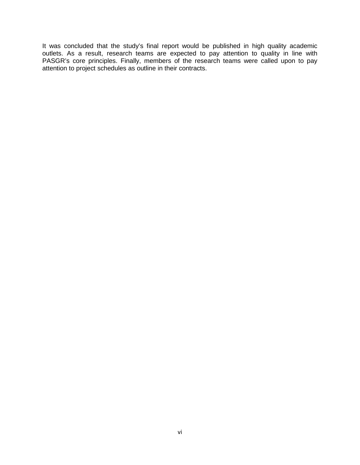It was concluded that the study's final report would be published in high quality academic outlets. As a result, research teams are expected to pay attention to quality in line with PASGR's core principles. Finally, members of the research teams were called upon to pay attention to project schedules as outline in their contracts.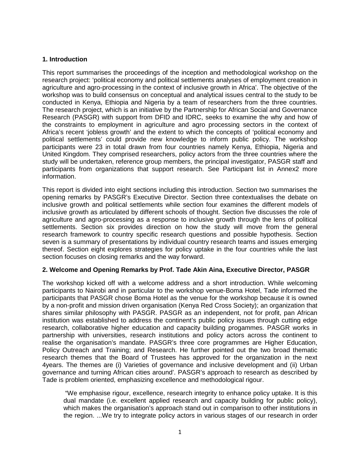# **1. Introduction**

This report summarises the proceedings of the inception and methodological workshop on the research project: 'political economy and political settlements analyses of employment creation in agriculture and agro-processing in the context of inclusive growth in Africa'. The objective of the workshop was to build consensus on conceptual and analytical issues central to the study to be conducted in Kenya, Ethiopia and Nigeria by a team of researchers from the three countries. The research project, which is an initiative by the Partnership for African Social and Governance Research (PASGR) with support from DFID and IDRC, seeks to examine the why and how of the constraints to employment in agriculture and agro processing sectors in the context of Africa's recent 'jobless growth' and the extent to which the concepts of 'political economy and political settlements' could provide new knowledge to inform public policy. The workshop participants were 23 in total drawn from four countries namely Kenya, Ethiopia, Nigeria and United Kingdom. They comprised researchers, policy actors from the three countries where the study will be undertaken, reference group members, the principal investigator, PASGR staff and participants from organizations that support research. See Participant list in Annex2 more information.

This report is divided into eight sections including this introduction. Section two summarises the opening remarks by PASGR's Executive Director. Section three contextualises the debate on inclusive growth and political settlements while section four examines the different models of inclusive growth as articulated by different schools of thought. Section five discusses the role of agriculture and agro-processing as a response to inclusive growth through the lens of political settlements. Section six provides direction on how the study will move from the general research framework to country specific research questions and possible hypothesis. Section seven is a summary of presentations by individual country research teams and issues emerging thereof. Section eight explores strategies for policy uptake in the four countries while the last section focuses on closing remarks and the way forward.

# **2. Welcome and Opening Remarks by Prof. Tade Akin Aina, Executive Director, PASGR**

The workshop kicked off with a welcome address and a short introduction. While welcoming participants to Nairobi and in particular to the workshop venue-Boma Hotel, Tade informed the participants that PASGR chose Boma Hotel as the venue for the workshop because it is owned by a non-profit and mission driven organisation (Kenya Red Cross Society); an organization that shares similar philosophy with PASGR. PASGR as an independent, not for profit, pan African institution was established to address the continent's public policy issues through cutting edge research, collaborative higher education and capacity building progammes. PASGR works in partnership with universities, research institutions and policy actors across the continent to realise the organisation's mandate. PASGR's three core programmes are Higher Education, Policy Outreach and Training; and Research. He further pointed out the two broad thematic research themes that the Board of Trustees has approved for the organization in the next 4years. The themes are (i) Varieties of governance and inclusive development and (ii) Urban governance and turning African cities around'. PASGR's approach to research as described by Tade is problem oriented, emphasizing excellence and methodological rigour.

"We emphasise rigour, excellence, research integrity to enhance policy uptake. It is this dual mandate (i.e. excellent applied research and capacity building for public policy), which makes the organisation's approach stand out in comparison to other institutions in the region. ...We try to integrate policy actors in various stages of our research in order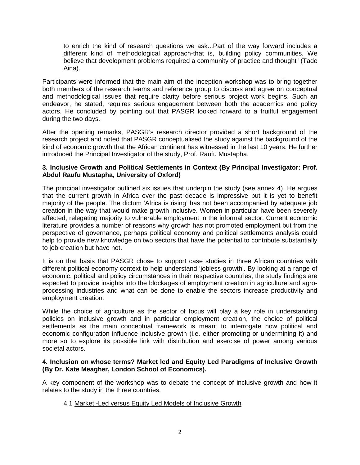to enrich the kind of research questions we ask...Part of the way forward includes a different kind of methodological approach-that is, building policy communities. We believe that development problems required a community of practice and thought" (Tade Aina).

Participants were informed that the main aim of the inception workshop was to bring together both members of the research teams and reference group to discuss and agree on conceptual and methodological issues that require clarity before serious project work begins. Such an endeavor, he stated, requires serious engagement between both the academics and policy actors. He concluded by pointing out that PASGR looked forward to a fruitful engagement during the two days.

After the opening remarks, PASGR's research director provided a short background of the research project and noted that PASGR conceptualised the study against the background of the kind of economic growth that the African continent has witnessed in the last 10 years. He further introduced the Principal Investigator of the study, Prof. Raufu Mustapha.

#### **3. Inclusive Growth and Political Settlements in Context (By Principal Investigator: Prof. Abdul Raufu Mustapha, University of Oxford)**

The principal investigator outlined six issues that underpin the study (see annex 4). He argues that the current growth in Africa over the past decade is impressive but it is yet to benefit majority of the people. The dictum 'Africa is rising' has not been accompanied by adequate job creation in the way that would make growth inclusive. Women in particular have been severely affected, relegating majority to vulnerable employment in the informal sector. Current economic literature provides a number of reasons why growth has not promoted employment but from the perspective of governance, perhaps political economy and political settlements analysis could help to provide new knowledge on two sectors that have the potential to contribute substantially to job creation but have not.

It is on that basis that PASGR chose to support case studies in three African countries with different political economy context to help understand 'jobless growth'. By looking at a range of economic, political and policy circumstances in their respective countries, the study findings are expected to provide insights into the blockages of employment creation in agriculture and agroprocessing industries and what can be done to enable the sectors increase productivity and employment creation.

While the choice of agriculture as the sector of focus will play a key role in understanding policies on inclusive growth and in particular employment creation, the choice of political settlements as the main conceptual framework is meant to interrogate how political and economic configuration influence inclusive growth (i.e. either promoting or undermining it) and more so to explore its possible link with distribution and exercise of power among various societal actors.

#### **4. Inclusion on whose terms? Market led and Equity Led Paradigms of Inclusive Growth (By Dr. Kate Meagher, London School of Economics).**

A key component of the workshop was to debate the concept of inclusive growth and how it relates to the study in the three countries.

4.1 Market -Led versus Equity Led Models of Inclusive Growth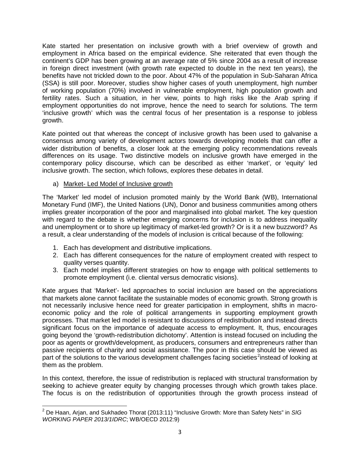Kate started her presentation on inclusive growth with a brief overview of growth and employment in Africa based on the empirical evidence. She reiterated that even though the continent's GDP has been growing at an average rate of 5% since 2004 as a result of increase in foreign direct investment (with growth rate expected to double in the next ten years), the benefits have not trickled down to the poor. About 47% of the population in Sub-Saharan Africa (SSA) is still poor. Moreover, studies show higher cases of youth unemployment, high number of working population (70%) involved in vulnerable employment, high population growth and fertility rates. Such a situation, in her view, points to high risks like the Arab spring if employment opportunities do not improve, hence the need to search for solutions. The term 'inclusive growth' which was the central focus of her presentation is a response to jobless growth.

Kate pointed out that whereas the concept of inclusive growth has been used to galvanise a consensus among variety of development actors towards developing models that can offer a wider distribution of benefits, a closer look at the emerging policy recommendations reveals differences on its usage. Two distinctive models on inclusive growth have emerged in the contemporary policy discourse, which can be described as either 'market', or 'equity' led inclusive growth. The section, which follows, explores these debates in detail.

# a) Market- Led Model of Inclusive growth

The 'Market' led model of inclusion promoted mainly by the World Bank (WB), International Monetary Fund (IMF), the United Nations (UN), Donor and business communities among others implies greater incorporation of the poor and marginalised into global market. The key question with regard to the debate is whether emerging concerns for inclusion is to address inequality and unemployment or to shore up legitimacy of market-led growth? Or is it a new buzzword? As a result, a clear understanding of the models of inclusion is critical because of the following:

- 1. Each has development and distributive implications.
- 2. Each has different consequences for the nature of employment created with respect to quality verses quantity.
- 3. Each model implies different strategies on how to engage with political settlements to promote employment (i.e. cliental versus democratic visions).

Kate argues that 'Market'- led approaches to social inclusion are based on the appreciations that markets alone cannot facilitate the sustainable modes of economic growth. Strong growth is not necessarily inclusive hence need for greater participation in employment, shifts in macroeconomic policy and the role of political arrangements in supporting employment growth processes. That market led model is resistant to discussions of redistribution and instead directs significant focus on the importance of adequate access to employment. It, thus, encourages going beyond the 'growth-redistribution dichotomy'. Attention is instead focused on including the poor as agents or growth/development, as producers, consumers and entrepreneurs rather than passive recipients of charity and social assistance. The poor in this case should be viewed as part of the solutions to the various development challenges facing societies<sup>[2](#page-8-0)</sup>instead of looking at them as the problem.

In this context, therefore, the issue of redistribution is replaced with structural transformation by seeking to achieve greater equity by changing processes through which growth takes place. The focus is on the redistribution of opportunities through the growth process instead of

<span id="page-8-0"></span><sup>2</sup> De Haan, Arjan, and Sukhadeo Thorat (2013:11) "Inclusive Growth: More than Safety Nets" in *SIG WORKING PAPER 2013/1IDRC*; WB/OECD 2012:9)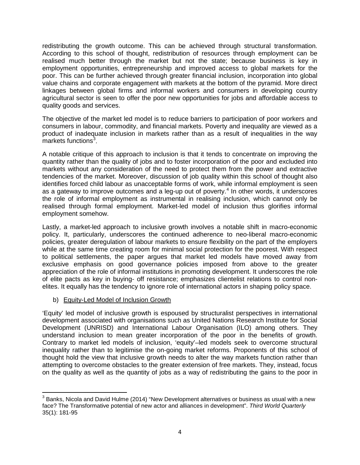redistributing the growth outcome. This can be achieved through structural transformation. According to this school of thought, redistribution of resources through employment can be realised much better through the market but not the state; because business is key in employment opportunities, entrepreneurship and improved access to global markets for the poor. This can be further achieved through greater financial inclusion, incorporation into global value chains and corporate engagement with markets at the bottom of the pyramid. More direct linkages between global firms and informal workers and consumers in developing country agricultural sector is seen to offer the poor new opportunities for jobs and affordable access to quality goods and services.

The objective of the market led model is to reduce barriers to participation of poor workers and consumers in labour, commodity, and financial markets. Poverty and inequality are viewed as a product of inadequate inclusion in markets rather than as a result of inequalities in the way markets functions<sup>[3](#page-9-0)</sup>.

A notable critique of this approach to inclusion is that it tends to concentrate on improving the quantity rather than the quality of jobs and to foster incorporation of the poor and excluded into markets without any consideration of the need to protect them from the power and extractive tendencies of the market. Moreover, discussion of job quality within this school of thought also identifies forced child labour as unacceptable forms of work, while informal employment is seen as a gateway to improve outcomes and a leg-up out of poverty.<sup>[4](#page-9-1)</sup> In other words, it underscores the role of informal employment as instrumental in realising inclusion, which cannot only be realised through formal employment. Market-led model of inclusion thus glorifies informal employment somehow.

Lastly, a market-led approach to inclusive growth involves a notable shift in macro-economic policy. It, particularly, underscores the continued adherence to neo-liberal macro-economic policies, greater deregulation of labour markets to ensure flexibility on the part of the employers while at the same time creating room for minimal social protection for the poorest. With respect to political settlements, the paper argues that market led models have moved away from exclusive emphasis on good governance policies imposed from above to the greater appreciation of the role of informal institutions in promoting development. It underscores the role of elite pacts as key in buying- off resistance; emphasizes clientelist relations to control nonelites. It equally has the tendency to ignore role of international actors in shaping policy space.

# b) Equity-Led Model of Inclusion Growth

'Equity' led model of inclusive growth is espoused by structuralist perspectives in international development associated with organisations such as United Nations Research Institute for Social Development (UNRISD) and International Labour Organisation (ILO) among others. They understand inclusion to mean greater incorporation of the poor in the benefits of growth. Contrary to market led models of inclusion, 'equity'–led models seek to overcome structural inequality rather than to legitimise the on-going market reforms. Proponents of this school of thought hold the view that inclusive growth needs to alter the way markets function rather than attempting to overcome obstacles to the greater extension of free markets. They, instead, focus on the quality as well as the quantity of jobs as a way of redistributing the gains to the poor in

<span id="page-9-1"></span><span id="page-9-0"></span> $3$  Banks, Nicola and David Hulme (2014) "New Development alternatives or business as usual with a new face? The Transformative potential of new actor and alliances in development". *Third World Quarterly* 35(1): 181-95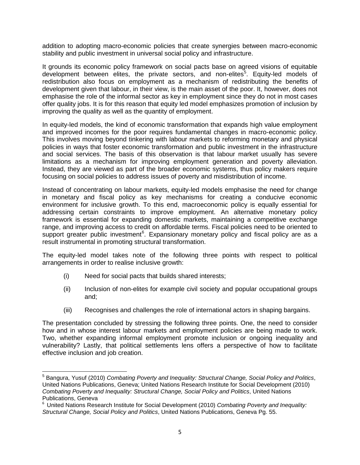addition to adopting macro-economic policies that create synergies between macro-economic stability and public investment in universal social policy and infrastructure.

It grounds its economic policy framework on social pacts base on agreed visions of equitable development between elites, the private sectors, and non-elites<sup>[5](#page-10-0)</sup>. Equity-led models of redistribution also focus on employment as a mechanism of redistributing the benefits of development given that labour, in their view, is the main asset of the poor. It, however, does not emphasise the role of the informal sector as key in employment since they do not in most cases offer quality jobs. It is for this reason that equity led model emphasizes promotion of inclusion by improving the quality as well as the quantity of employment.

In equity-led models, the kind of economic transformation that expands high value employment and improved incomes for the poor requires fundamental changes in macro-economic policy. This involves moving beyond tinkering with labour markets to reforming monetary and physical policies in ways that foster economic transformation and public investment in the infrastructure and social services. The basis of this observation is that labour market usually has severe limitations as a mechanism for improving employment generation and poverty alleviation. Instead, they are viewed as part of the broader economic systems, thus policy makers require focusing on social policies to address issues of poverty and misdistribution of income.

Instead of concentrating on labour markets, equity-led models emphasise the need for change in monetary and fiscal policy as key mechanisms for creating a conducive economic environment for inclusive growth. To this end, macroeconomic policy is equally essential for addressing certain constraints to improve employment. An alternative monetary policy framework is essential for expanding domestic markets, maintaining a competitive exchange range, and improving access to credit on affordable terms. Fiscal policies need to be oriented to support greater public investment<sup>[6](#page-10-1)</sup>. Expansionary monetary policy and fiscal policy are as a result instrumental in promoting structural transformation.

The equity-led model takes note of the following three points with respect to political arrangements in order to realise inclusive growth:

- (i) Need for social pacts that builds shared interests;
- (ii) Inclusion of non-elites for example civil society and popular occupational groups and;
- (iii) Recognises and challenges the role of international actors in shaping bargains.

The presentation concluded by stressing the following three points. One, the need to consider how and in whose interest labour markets and employment policies are being made to work. Two, whether expanding informal employment promote inclusion or ongoing inequality and vulnerability? Lastly, that political settlements lens offers a perspective of how to facilitate effective inclusion and job creation.

<span id="page-10-0"></span><sup>5</sup> Bangura, Yusuf (2010) *Combating Poverty and Inequality: Structural Change, Social Policy and Politics*, United Nations Publications, Geneva; United Nations Research Institute for Social Development (2010) *Combating Poverty and Inequality: Structural Change, Social Policy and Politics*, United Nations Publications, Geneva

<span id="page-10-1"></span><sup>6</sup> United Nations Research Institute for Social Development (2010) *Combating Poverty and Inequality: Structural Change, Social Policy and Politics*, United Nations Publications, Geneva Pg. 55.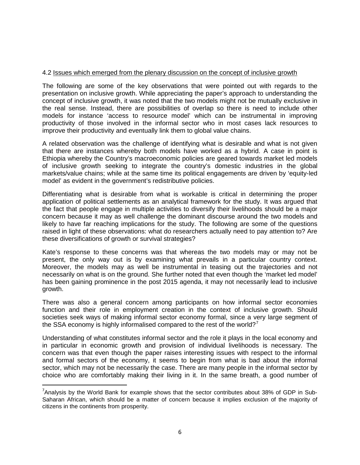#### 4.2 Issues which emerged from the plenary discussion on the concept of inclusive growth

The following are some of the key observations that were pointed out with regards to the presentation on inclusive growth. While appreciating the paper's approach to understanding the concept of inclusive growth, it was noted that the two models might not be mutually exclusive in the real sense. Instead, there are possibilities of overlap so there is need to include other models for instance 'access to resource model' which can be instrumental in improving productivity of those involved in the informal sector who in most cases lack resources to improve their productivity and eventually link them to global value chains.

A related observation was the challenge of identifying what is desirable and what is not given that there are instances whereby both models have worked as a hybrid. A case in point is Ethiopia whereby the Country's macroeconomic policies are geared towards market led models of inclusive growth seeking to integrate the country's domestic industries in the global markets/value chains; while at the same time its political engagements are driven by 'equity-led model' as evident in the government's redistributive policies.

Differentiating what is desirable from what is workable is critical in determining the proper application of political settlements as an analytical framework for the study. It was argued that the fact that people engage in multiple activities to diversify their livelihoods should be a major concern because it may as well challenge the dominant discourse around the two models and likely to have far reaching implications for the study. The following are some of the questions raised in light of these observations: what do researchers actually need to pay attention to? Are these diversifications of growth or survival strategies?

Kate's response to these concerns was that whereas the two models may or may not be present, the only way out is by examining what prevails in a particular country context. Moreover, the models may as well be instrumental in teasing out the trajectories and not necessarily on what is on the ground. She further noted that even though the 'market led model' has been gaining prominence in the post 2015 agenda, it may not necessarily lead to inclusive growth.

There was also a general concern among participants on how informal sector economies function and their role in employment creation in the context of inclusive growth. Should societies seek ways of making informal sector economy formal, since a very large segment of the SSA economy is highly informalised compared to the rest of the world?<sup>[7](#page-11-0)</sup>

Understanding of what constitutes informal sector and the role it plays in the local economy and in particular in economic growth and provision of individual livelihoods is necessary. The concern was that even though the paper raises interesting issues with respect to the informal and formal sectors of the economy, it seems to begin from what is bad about the informal sector, which may not be necessarily the case. There are many people in the informal sector by choice who are comfortably making their living in it. In the same breath, a good number of

<span id="page-11-0"></span><sup>—&</sup>lt;br>7  $7$ Analysis by the World Bank for example shows that the sector contributes about 38% of GDP in Sub-Saharan African, which should be a matter of concern because it implies exclusion of the majority of citizens in the continents from prosperity.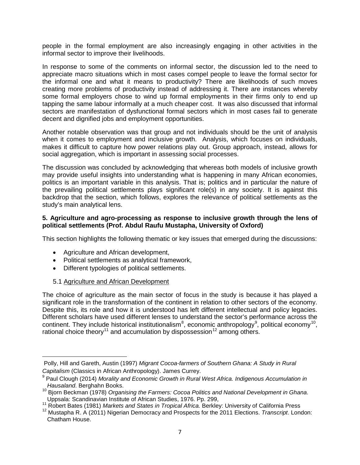people in the formal employment are also increasingly engaging in other activities in the informal sector to improve their livelihoods.

In response to some of the comments on informal sector, the discussion led to the need to appreciate macro situations which in most cases compel people to leave the formal sector for the informal one and what it means to productivity? There are likelihoods of such moves creating more problems of productivity instead of addressing it. There are instances whereby some formal employers chose to wind up formal employments in their firms only to end up tapping the same labour informally at a much cheaper cost. It was also discussed that informal sectors are manifestation of dysfunctional formal sectors which in most cases fail to generate decent and dignified jobs and employment opportunities.

Another notable observation was that group and not individuals should be the unit of analysis when it comes to employment and inclusive growth. Analysis, which focuses on individuals, makes it difficult to capture how power relations play out. Group approach, instead, allows for social aggregation, which is important in assessing social processes.

The discussion was concluded by acknowledging that whereas both models of inclusive growth may provide useful insights into understanding what is happening in many African economies, politics is an important variable in this analysis. That is; politics and in particular the nature of the prevailing political settlements plays significant role(s) in any society. It is against this backdrop that the section, which follows, explores the relevance of political settlements as the study's main analytical lens.

#### **5. Agriculture and agro-processing as response to inclusive growth through the lens of political settlements (Prof. Abdul Raufu Mustapha, University of Oxford)**

This section highlights the following thematic or key issues that emerged during the discussions:

- Agriculture and African development,
- Political settlements as analytical framework,
- Different typologies of political settlements.
- 5.1 Agriculture and African Development

 $\overline{\phantom{a}}$ 

The choice of agriculture as the main sector of focus in the study is because it has played a significant role in the transformation of the continent in relation to other sectors of the economy. Despite this, its role and how it is understood has left different intellectual and policy legacies. Different scholars have used different lenses to understand the sector's performance across the continent. They include historical institutionalism<sup>[8](#page-12-0)</sup>, economic anthropology<sup>[9](#page-12-1)</sup>, political economy<sup>10</sup>, rational choice theory<sup>[11](#page-12-3)</sup> and accumulation by dispossession<sup>[12](#page-12-4)</sup> among others.

<span id="page-12-0"></span>Polly, Hill and Gareth, Austin (1997) *[Migrant Cocoa-farmers of Southern Ghana: A Study in Rural](http://www.amazon.com/Migrant-Cocoa-farmers-Southern-Ghana-Anthropology/dp/0852552998/ref=la_B001HPY0Y4_1_3/189-5452154-8277869?s=books&ie=UTF8&qid=1433767767&sr=1-3)  Capitalism* [\(Classics in African Anthropology\).](http://www.amazon.com/Migrant-Cocoa-farmers-Southern-Ghana-Anthropology/dp/0852552998/ref=la_B001HPY0Y4_1_3/189-5452154-8277869?s=books&ie=UTF8&qid=1433767767&sr=1-3) James Currey.

<span id="page-12-1"></span><sup>9</sup> Paul Clough (2014) *Morality and Economic Growth in Rural West Africa. Indigenous Accumulation in*

<span id="page-12-2"></span>*nausalaria. Bergham Books.*<br><sup>10</sup> Bjorn Beckman (1978) *Organising the Farmers: Cocoa Politics and National Development in Ghana.*<br>Uppsala: Scandinavian Institute of African Studies, 1976. Pp. 299,

<span id="page-12-4"></span><span id="page-12-3"></span><sup>&</sup>lt;sup>11</sup> Robert Bates (1981) *Markets and States in Tropical Africa.* Berkley: University of California Press<br><sup>12</sup> Mustapha R. A (2011) Nigerian Democracy and Prospects for the 2011 Elections. Transcript. London: Chatham House.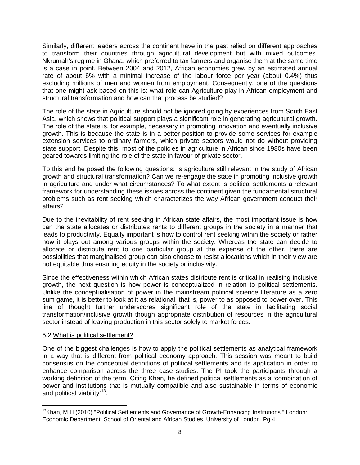Similarly, different leaders across the continent have in the past relied on different approaches to transform their countries through agricultural development but with mixed outcomes. Nkrumah's regime in Ghana, which preferred to tax farmers and organise them at the same time is a case in point. Between 2004 and 2012, African economies grew by an estimated annual rate of about 6% with a minimal increase of the labour force per year (about 0.4%) thus excluding millions of men and women from employment. Consequently, one of the questions that one might ask based on this is: what role can Agriculture play in African employment and structural transformation and how can that process be studied?

The role of the state in Agriculture should not be ignored going by experiences from South East Asia, which shows that political support plays a significant role in generating agricultural growth. The role of the state is, for example, necessary in promoting innovation and eventually inclusive growth. This is because the state is in a better position to provide some services for example extension services to ordinary farmers, which private sectors would not do without providing state support. Despite this, most of the policies in agriculture in African since 1980s have been geared towards limiting the role of the state in favour of private sector.

To this end he posed the following questions: Is agriculture still relevant in the study of African growth and structural transformation? Can we re-engage the state in promoting inclusive growth in agriculture and under what circumstances? To what extent is political settlements a relevant framework for understanding these issues across the continent given the fundamental structural problems such as rent seeking which characterizes the way African government conduct their affairs?

Due to the inevitability of rent seeking in African state affairs, the most important issue is how can the state allocates or distributes rents to different groups in the society in a manner that leads to productivity. Equally important is how to control rent seeking within the society or rather how it plays out among various groups within the society. Whereas the state can decide to allocate or distribute rent to one particular group at the expense of the other, there are possibilities that marginalised group can also choose to resist allocations which in their view are not equitable thus ensuring equity in the society or inclusivity.

Since the effectiveness within which African states distribute rent is critical in realising inclusive growth, the next question is how power is conceptualized in relation to political settlements. Unlike the conceptualisation of power in the mainstream political science literature as a zero sum game, it is better to look at it as relational, that is, power to as opposed to power over. This line of thought further underscores significant role of the state in facilitating social transformation/inclusive growth though appropriate distribution of resources in the agricultural sector instead of leaving production in this sector solely to market forces.

#### 5.2 What is political settlement?

One of the biggest challenges is how to apply the political settlements as analytical framework in a way that is different from political economy approach. This session was meant to build consensus on the conceptual definitions of political settlements and its application in order to enhance comparison across the three case studies. The PI took the participants through a working definition of the term. Citing Khan, he defined political settlements as a 'combination of power and institutions that is mutually compatible and also sustainable in terms of economic and political viability<sup>13</sup>.

<span id="page-13-0"></span><sup>&</sup>lt;sup>13</sup>Khan, M.H (2010) "Political Settlements and Governance of Growth-Enhancing Institutions." London: Economic Department, School of Oriental and African Studies, University of London. Pg.4.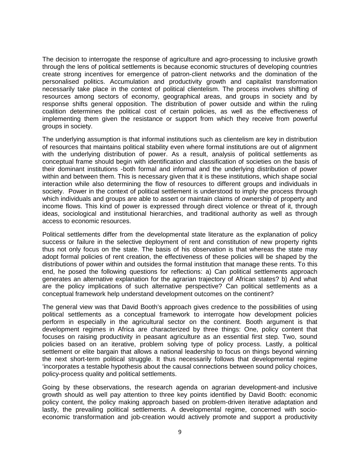The decision to interrogate the response of agriculture and agro-processing to inclusive growth through the lens of political settlements is because economic structures of developing countries create strong incentives for emergence of patron-client networks and the domination of the personalised politics. Accumulation and productivity growth and capitalist transformation necessarily take place in the context of political clientelism. The process involves shifting of resources among sectors of economy, geographical areas, and groups in society and by response shifts general opposition. The distribution of power outside and within the ruling coalition determines the political cost of certain policies, as well as the effectiveness of implementing them given the resistance or support from which they receive from powerful groups in society.

The underlying assumption is that informal institutions such as clientelism are key in distribution of resources that maintains political stability even where formal institutions are out of alignment with the underlying distribution of power. As a result, analysis of political settlements as conceptual frame should begin with identification and classification of societies on the basis of their dominant institutions -both formal and informal and the underlying distribution of power within and between them. This is necessary given that it is these institutions, which shape social interaction while also determining the flow of resources to different groups and individuals in society. Power in the context of political settlement is understood to imply the process through which individuals and groups are able to assert or maintain claims of ownership of property and income flows. This kind of power is expressed through direct violence or threat of it, through ideas, sociological and institutional hierarchies, and traditional authority as well as through access to economic resources.

Political settlements differ from the developmental state literature as the explanation of policy success or failure in the selective deployment of rent and constitution of new property rights thus not only focus on the state. The basis of his observation is that whereas the state may adopt formal policies of rent creation, the effectiveness of these policies will be shaped by the distributions of power within and outsides the formal institution that manage these rents. To this end, he posed the following questions for reflections: a) Can political settlements approach generates an alternative explanation for the agrarian trajectory of African states? b) And what are the policy implications of such alternative perspective? Can political settlements as a conceptual framework help understand development outcomes on the continent?

The general view was that David Booth's approach gives credence to the possibilities of using political settlements as a conceptual framework to interrogate how development policies perform in especially in the agricultural sector on the continent. Booth argument is that development regimes in Africa are characterized by three things: One, policy content that focuses on raising productivity in peasant agriculture as an essential first step. Two, sound policies based on an iterative, problem solving type of policy process. Lastly, a political settlement or elite bargain that allows a national leadership to focus on things beyond winning the next short-term political struggle. It thus necessarily follows that developmental regime 'incorporates a testable hypothesis about the causal connections between sound policy choices, policy-process quality and political settlements.

Going by these observations, the research agenda on agrarian development-and inclusive growth should as well pay attention to three key points identified by David Booth: economic policy content, the policy making approach based on problem-driven iterative adaptation and lastly, the prevailing political settlements. A developmental regime, concerned with socioeconomic transformation and job-creation would actively promote and support a productivity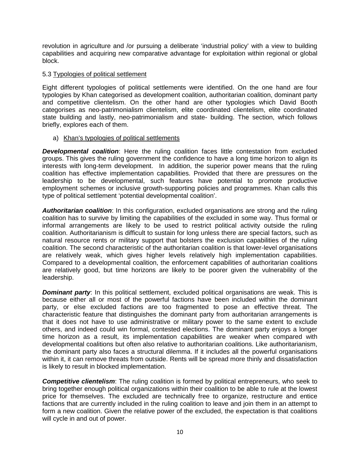revolution in agriculture and /or pursuing a deliberate 'industrial policy' with a view to building capabilities and acquiring new comparative advantage for exploitation within regional or global block.

#### 5.3 Typologies of political settlement

Eight different typologies of political settlements were identified. On the one hand are four typologies by Khan categorised as development coalition, authoritarian coalition, dominant party and competitive clientelism. On the other hand are other typologies which David Booth categorises as neo-patrimonialism clientelism, elite coordinated clientelism, elite coordinated state building and lastly, neo-patrimonialism and state- building. The section, which follows briefly, explores each of them.

#### a) Khan's typologies of political settlements

*Developmental coalition*: Here the ruling coalition faces little contestation from excluded groups. This gives the ruling government the confidence to have a long time horizon to align its interests with long-term development. In addition, the superior power means that the ruling coalition has effective implementation capabilities. Provided that there are pressures on the leadership to be developmental, such features have potential to promote productive employment schemes or inclusive growth-supporting policies and programmes. Khan calls this type of political settlement 'potential developmental coalition'.

*Authoritarian coalition*: In this configuration, excluded organisations are strong and the ruling coalition has to survive by limiting the capabilities of the excluded in some way. Thus formal or informal arrangements are likely to be used to restrict political activity outside the ruling coalition. Authoritarianism is difficult to sustain for long unless there are special factors, such as natural resource rents or military support that bolsters the exclusion capabilities of the ruling coalition. The second characteristic of the authoritarian coalition is that lower-level organisations are relatively weak, which gives higher levels relatively high implementation capabilities. Compared to a developmental coalition, the enforcement capabilities of authoritarian coalitions are relatively good, but time horizons are likely to be poorer given the vulnerability of the leadership.

*Dominant party***:** In this political settlement, excluded political organisations are weak. This is because either all or most of the powerful factions have been included within the dominant party, or else excluded factions are too fragmented to pose an effective threat. The characteristic feature that distinguishes the dominant party from authoritarian arrangements is that it does not have to use administrative or military power to the same extent to exclude others, and indeed could win formal, contested elections. The dominant party enjoys a longer time horizon as a result, its implementation capabilities are weaker when compared with developmental coalitions but often also relative to authoritarian coalitions. Like authoritarianism, the dominant party also faces a structural dilemma. If it includes all the powerful organisations within it, it can remove threats from outside. Rents will be spread more thinly and dissatisfaction is likely to result in blocked implementation.

*Competitive clientelism*: The ruling coalition is formed by political entrepreneurs, who seek to bring together enough political organizations within their coalition to be able to rule at the lowest price for themselves. The excluded are technically free to organize, restructure and entice factions that are currently included in the ruling coalition to leave and join them in an attempt to form a new coalition. Given the relative power of the excluded, the expectation is that coalitions will cycle in and out of power.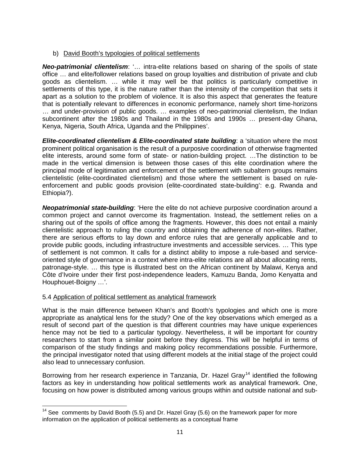# b) David Booth's typologies of political settlements

*Neo-patrimonial clientelism*: '… intra-elite relations based on sharing of the spoils of state office … and elite/follower relations based on group loyalties and distribution of private and club goods as clientelism. … while it may well be that politics is particularly competitive in settlements of this type, it is the nature rather than the intensity of the competition that sets it apart as a solution to the problem of violence. It is also this aspect that generates the feature that is potentially relevant to differences in economic performance, namely short time-horizons … and under-provision of public goods. … examples of neo-patrimonial clientelism, the Indian subcontinent after the 1980s and Thailand in the 1980s and 1990s … present-day Ghana, Kenya, Nigeria, South Africa, Uganda and the Philippines'.

*Elite-coordinated clientelism & Elite-coordinated state building*: a 'situation where the most prominent political organisation is the result of a purposive coordination of otherwise fragmented elite interests, around some form of state- or nation-building project. …The distinction to be made in the vertical dimension is between those cases of this elite coordination where the principal mode of legitimation and enforcement of the settlement with subaltern groups remains clientelistic (elite-coordinated clientelism) and those where the settlement is based on ruleenforcement and public goods provision (elite-coordinated state-building': e.g. Rwanda and Ethiopia?).

*Neopatrimonial state-building*: 'Here the elite do not achieve purposive coordination around a common project and cannot overcome its fragmentation. Instead, the settlement relies on a sharing out of the spoils of office among the fragments. However, this does not entail a mainly clientelistic approach to ruling the country and obtaining the adherence of non-elites. Rather, there are serious efforts to lay down and enforce rules that are generally applicable and to provide public goods, including infrastructure investments and accessible services. … This type of settlement is not common. It calls for a distinct ability to impose a rule-based and serviceoriented style of governance in a context where intra-elite relations are all about allocating rents, patronage-style. … this type is illustrated best on the African continent by Malawi, Kenya and Côte d'Ivoire under their first post-independence leaders, Kamuzu Banda, Jomo Kenyatta and Houphouet-Boigny …'.

# 5.4 Application of political settlement as analytical framework

What is the main difference between Khan's and Booth's typologies and which one is more appropriate as analytical lens for the study? One of the key observations which emerged as a result of second part of the question is that different countries may have unique experiences hence may not be tied to a particular typology. Nevertheless, it will be important for country researchers to start from a similar point before they digress. This will be helpful in terms of comparison of the study findings and making policy recommendations possible. Furthermore, the principal investigator noted that using different models at the initial stage of the project could also lead to unnecessary confusion.

Borrowing from her research experience in Tanzania, Dr. Hazel Gray<sup>[14](#page-16-0)</sup> identified the following factors as key in understanding how political settlements work as analytical framework. One, focusing on how power is distributed among various groups within and outside national and sub-

<span id="page-16-0"></span> $14$  See comments by David Booth (5.5) and Dr. Hazel Gray (5.6) on the framework paper for more information on the application of political settlements as a conceptual frame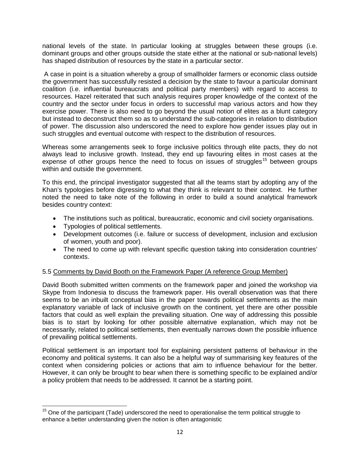national levels of the state. In particular looking at struggles between these groups (i.e. dominant groups and other groups outside the state either at the national or sub-national levels) has shaped distribution of resources by the state in a particular sector.

A case in point is a situation whereby a group of smallholder farmers or economic class outside the government has successfully resisted a decision by the state to favour a particular dominant coalition (i.e. influential bureaucrats and political party members) with regard to access to resources. Hazel reiterated that such analysis requires proper knowledge of the context of the country and the sector under focus in orders to successful map various actors and how they exercise power. There is also need to go beyond the usual notion of elites as a blunt category but instead to deconstruct them so as to understand the sub-categories in relation to distribution of power. The discussion also underscored the need to explore how gender issues play out in such struggles and eventual outcome with respect to the distribution of resources.

Whereas some arrangements seek to forge inclusive politics through elite pacts, they do not always lead to inclusive growth. Instead, they end up favouring elites in most cases at the expense of other groups hence the need to focus on issues of struggles<sup>[15](#page-17-0)</sup> between groups within and outside the government.

To this end, the principal investigator suggested that all the teams start by adopting any of the Khan's typologies before digressing to what they think is relevant to their context. He further noted the need to take note of the following in order to build a sound analytical framework besides country context:

- The institutions such as political, bureaucratic, economic and civil society organisations.
- Typologies of political settlements.
- Development outcomes (i.e. failure or success of development, inclusion and exclusion of women, youth and poor).
- The need to come up with relevant specific question taking into consideration countries' contexts.

# 5.5 Comments by David Booth on the Framework Paper (A reference Group Member)

David Booth submitted written comments on the framework paper and joined the workshop via Skype from Indonesia to discuss the framework paper. His overall observation was that there seems to be an inbuilt conceptual bias in the paper towards political settlements as the main explanatory variable of lack of inclusive growth on the continent, yet there are other possible factors that could as well explain the prevailing situation. One way of addressing this possible bias is to start by looking for other possible alternative explanation, which may not be necessarily, related to political settlements, then eventually narrows down the possible influence of prevailing political settlements.

Political settlement is an important tool for explaining persistent patterns of behaviour in the economy and political systems. It can also be a helpful way of summarising key features of the context when considering policies or actions that aim to influence behaviour for the better. However, it can only be brought to bear when there is something specific to be explained and/or a policy problem that needs to be addressed. It cannot be a starting point.

<span id="page-17-0"></span> $15$  One of the participant (Tade) underscored the need to operationalise the term political struggle to enhance a better understanding given the notion is often antagonistic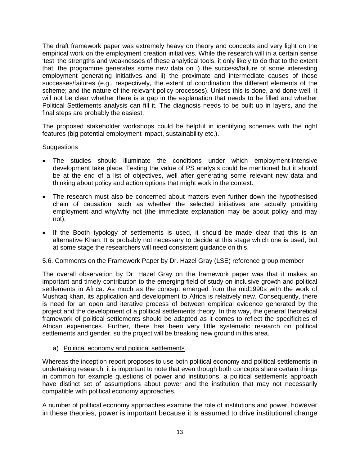The draft framework paper was extremely heavy on theory and concepts and very light on the empirical work on the employment creation initiatives. While the research will in a certain sense 'test' the strengths and weaknesses of these analytical tools, it only likely to do that to the extent that: the programme generates some new data on i) the success/failure of some interesting employment generating initiatives and ii) the proximate and intermediate causes of these successes/failures (e.g., respectively, the extent of coordination the different elements of the scheme; and the nature of the relevant policy processes). Unless this is done, and done well, it will not be clear whether there is a gap in the explanation that needs to be filled and whether Political Settlements analysis can fill it. The diagnosis needs to be built up in layers, and the final steps are probably the easiest.

The proposed stakeholder workshops could be helpful in identifying schemes with the right features (big potential employment impact, sustainability etc.).

# **Suggestions**

- The studies should illuminate the conditions under which employment-intensive development take place. Testing the value of PS analysis could be mentioned but it should be at the end of a list of objectives, well after generating some relevant new data and thinking about policy and action options that might work in the context.
- The research must also be concerned about matters even further down the hypothesised chain of causation, such as whether the selected initiatives are actually providing employment and why/why not (the immediate explanation may be about policy and may not).
- If the Booth typology of settlements is used, it should be made clear that this is an alternative Khan. It is probably not necessary to decide at this stage which one is used, but at some stage the researchers will need consistent guidance on this.

# 5.6. Comments on the Framework Paper by Dr. Hazel Gray (LSE) reference group member

The overall observation by Dr. Hazel Gray on the framework paper was that it makes an important and timely contribution to the emerging field of study on inclusive growth and political settlements in Africa. As much as the concept emerged from the mid1990s with the work of Mushtaq khan, its application and development to Africa is relatively new. Consequently, there is need for an open and iterative process of between empirical evidence generated by the project and the development of a political settlements theory. In this way, the general theoretical framework of political settlements should be adapted as it comes to reflect the specificities of African experiences. Further, there has been very little systematic research on political settlements and gender, so the project will be breaking new ground in this area.

# a) Political economy and political settlements

Whereas the inception report proposes to use both political economy and political settlements in undertaking research, it is important to note that even though both concepts share certain things in common for example questions of power and institutions, a political settlements approach have distinct set of assumptions about power and the institution that may not necessarily compatible with political economy approaches.

A number of political economy approaches examine the role of institutions and power, however in these theories, power is important because it is assumed to drive institutional change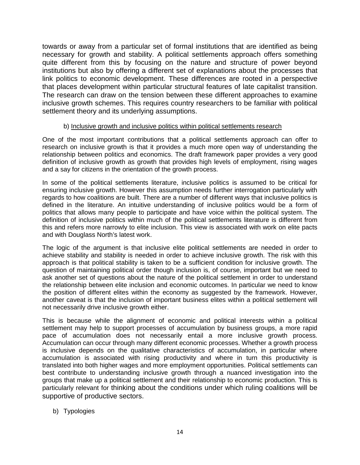towards or away from a particular set of formal institutions that are identified as being necessary for growth and stability. A political settlements approach offers something quite different from this by focusing on the nature and structure of power beyond institutions but also by offering a different set of explanations about the processes that link politics to economic development. These differences are rooted in a perspective that places development within particular structural features of late capitalist transition. The research can draw on the tension between these different approaches to examine inclusive growth schemes. This requires country researchers to be familiar with political settlement theory and its underlying assumptions.

#### b) Inclusive growth and inclusive politics within political settlements research

One of the most important contributions that a political settlements approach can offer to research on inclusive growth is that it provides a much more open way of understanding the relationship between politics and economics. The draft framework paper provides a very good definition of inclusive growth as growth that provides high levels of employment, rising wages and a say for citizens in the orientation of the growth process.

In some of the political settlements literature, inclusive politics is assumed to be critical for ensuring inclusive growth. However this assumption needs further interrogation particularly with regards to how coalitions are built. There are a number of different ways that inclusive politics is defined in the literature. An intuitive understanding of inclusive politics would be a form of politics that allows many people to participate and have voice within the political system. The definition of inclusive politics within much of the political settlements literature is different from this and refers more narrowly to elite inclusion. This view is associated with work on elite pacts and with Douglass North's latest work.

The logic of the argument is that inclusive elite political settlements are needed in order to achieve stability and stability is needed in order to achieve inclusive growth. The risk with this approach is that political stability is taken to be a sufficient condition for inclusive growth. The question of maintaining political order though inclusion is, of course, important but we need to ask another set of questions about the nature of the political settlement in order to understand the relationship between elite inclusion and economic outcomes. In particular we need to know the position of different elites within the economy as suggested by the framework. However, another caveat is that the inclusion of important business elites within a political settlement will not necessarily drive inclusive growth either.

This is because while the alignment of economic and political interests within a political settlement may help to support processes of accumulation by business groups, a more rapid pace of accumulation does not necessarily entail a more inclusive growth process. Accumulation can occur through many different economic processes. Whether a growth process is inclusive depends on the qualitative characteristics of accumulation, in particular where accumulation is associated with rising productivity and where in turn this productivity is translated into both higher wages and more employment opportunities. Political settlements can best contribute to understanding inclusive growth through a nuanced investigation into the groups that make up a political settlement and their relationship to economic production. This is particularly relevant for thinking about the conditions under which ruling coalitions will be supportive of productive sectors.

# b) Typologies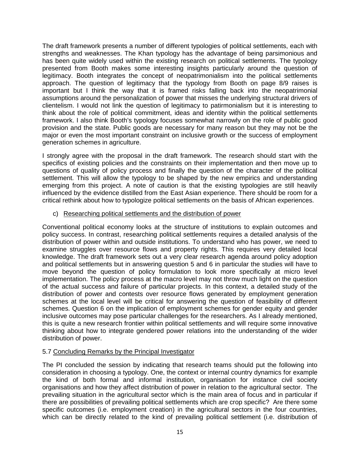The draft framework presents a number of different typologies of political settlements, each with strengths and weaknesses. The Khan typology has the advantage of being parsimonious and has been quite widely used within the existing research on political settlements. The typology presented from Booth makes some interesting insights particularly around the question of legitimacy. Booth integrates the concept of neopatrimonialism into the political settlements approach. The question of legitimacy that the typology from Booth on page 8/9 raises is important but I think the way that it is framed risks falling back into the neopatrimonial assumptions around the personalization of power that misses the underlying structural drivers of clientelism. I would not link the question of legitimacy to patirmonialism but it is interesting to think about the role of political commitment, ideas and identity within the political settlements framework. I also think Booth's typology focuses somewhat narrowly on the role of public good provision and the state. Public goods are necessary for many reason but they may not be the major or even the most important constraint on inclusive growth or the success of employment generation schemes in agriculture.

I strongly agree with the proposal in the draft framework. The research should start with the specifics of existing policies and the constraints on their implementation and then move up to questions of quality of policy process and finally the question of the character of the political settlement. This will allow the typology to be shaped by the new empirics and understanding emerging from this project. A note of caution is that the existing typologies are still heavily influenced by the evidence distilled from the East Asian experience. There should be room for a critical rethink about how to typologize political settlements on the basis of African experiences.

#### c) Researching political settlements and the distribution of power

Conventional political economy looks at the structure of institutions to explain outcomes and policy success. In contrast, researching political settlements requires a detailed analysis of the distribution of power within and outside institutions. To understand who has power, we need to examine struggles over resource flows and property rights. This requires very detailed local knowledge. The draft framework sets out a very clear research agenda around policy adoption and political settlements but in answering question 5 and 6 in particular the studies will have to move beyond the question of policy formulation to look more specifically at micro level implementation. The policy process at the macro level may not throw much light on the question of the actual success and failure of particular projects. In this context, a detailed study of the distribution of power and contests over resource flows generated by employment generation schemes at the local level will be critical for answering the question of feasibility of different schemes. Question 6 on the implication of employment schemes for gender equity and gender inclusive outcomes may pose particular challenges for the researchers. As I already mentioned, this is quite a new research frontier within political settlements and will require some innovative thinking about how to integrate gendered power relations into the understanding of the wider distribution of power.

# 5.7 Concluding Remarks by the Principal Investigator

The PI concluded the session by indicating that research teams should put the following into consideration in choosing a typology. One, the context or internal country dynamics for example the kind of both formal and informal institution, organisation for instance civil society organisations and how they affect distribution of power in relation to the agricultural sector. The prevailing situation in the agricultural sector which is the main area of focus and in particular if there are possibilities of prevailing political settlements which are crop specific? Are there some specific outcomes (i.e. employment creation) in the agricultural sectors in the four countries, which can be directly related to the kind of prevailing political settlement (i.e. distribution of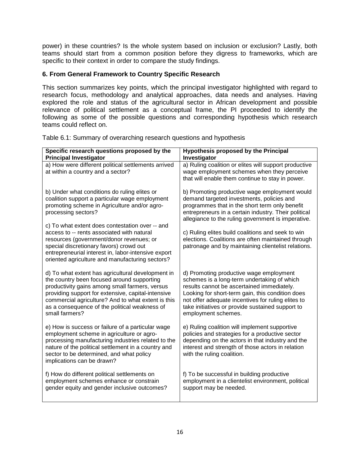power) in these countries? Is the whole system based on inclusion or exclusion? Lastly, both teams should start from a common position before they digress to frameworks, which are specific to their context in order to compare the study findings.

# **6. From General Framework to Country Specific Research**

This section summarizes key points, which the principal investigator highlighted with regard to research focus, methodology and analytical approaches, data needs and analyses. Having explored the role and status of the agricultural sector in African development and possible relevance of political settlement as a conceptual frame, the PI proceeded to identify the following as some of the possible questions and corresponding hypothesis which research teams could reflect on.

| Specific research questions proposed by the<br><b>Principal Investigator</b>                                                                                                                                                                                                                                                     | <b>Hypothesis proposed by the Principal</b><br>Investigator                                                                                                                                                                                                                                                               |
|----------------------------------------------------------------------------------------------------------------------------------------------------------------------------------------------------------------------------------------------------------------------------------------------------------------------------------|---------------------------------------------------------------------------------------------------------------------------------------------------------------------------------------------------------------------------------------------------------------------------------------------------------------------------|
| a) How were different political settlements arrived<br>at within a country and a sector?                                                                                                                                                                                                                                         | a) Ruling coalition or elites will support productive<br>wage employment schemes when they perceive<br>that will enable them continue to stay in power.                                                                                                                                                                   |
| b) Under what conditions do ruling elites or<br>coalition support a particular wage employment<br>promoting scheme in Agriculture and/or agro-<br>processing sectors?                                                                                                                                                            | b) Promoting productive wage employment would<br>demand targeted investments, policies and<br>programmes that in the short term only benefit<br>entrepreneurs in a certain industry. Their political<br>allegiance to the ruling government is imperative.                                                                |
| c) To what extent does contestation over -- and<br>access to -- rents associated with natural<br>resources (government/donor revenues; or<br>special discretionary favors) crowd out<br>entrepreneurial interest in, labor-intensive export<br>oriented agriculture and manufacturing sectors?                                   | c) Ruling elites build coalitions and seek to win<br>elections. Coalitions are often maintained through<br>patronage and by maintaining clientelist relations.                                                                                                                                                            |
| d) To what extent has agricultural development in<br>the country been focused around supporting<br>productivity gains among small farmers, versus<br>providing support for extensive, capital-intensive<br>commercial agriculture? And to what extent is this<br>as a consequence of the political weakness of<br>small farmers? | d) Promoting productive wage employment<br>schemes is a long-term undertaking of which<br>results cannot be ascertained immediately.<br>Looking for short-term gain, this condition does<br>not offer adequate incentives for ruling elites to<br>take initiatives or provide sustained support to<br>employment schemes. |
| e) How is success or failure of a particular wage<br>employment scheme in agriculture or agro-<br>processing manufacturing industries related to the<br>nature of the political settlement in a country and<br>sector to be determined, and what policy<br>implications can be drawn?                                            | e) Ruling coalition will implement supportive<br>policies and strategies for a productive sector<br>depending on the actors in that industry and the<br>interest and strength of those actors in relation<br>with the ruling coalition.                                                                                   |
| f) How do different political settlements on<br>employment schemes enhance or constrain<br>gender equity and gender inclusive outcomes?                                                                                                                                                                                          | f) To be successful in building productive<br>employment in a clientelist environment, political<br>support may be needed.                                                                                                                                                                                                |

Table 6.1: Summary of overarching research questions and hypothesis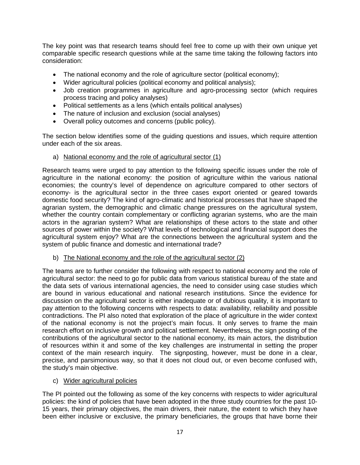The key point was that research teams should feel free to come up with their own unique yet comparable specific research questions while at the same time taking the following factors into consideration:

- The national economy and the role of agriculture sector (political economy);
- Wider agricultural policies (political economy and political analysis);
- Job creation programmes in agriculture and agro-processing sector (which requires process tracing and policy analyses)
- Political settlements as a lens (which entails political analyses)
- The nature of inclusion and exclusion (social analyses)
- Overall policy outcomes and concerns (public policy).

The section below identifies some of the guiding questions and issues, which require attention under each of the six areas.

a) National economy and the role of agricultural sector (1)

Research teams were urged to pay attention to the following specific issues under the role of agriculture in the national economy: the position of agriculture within the various national economies; the country's level of dependence on agriculture compared to other sectors of economy- is the agricultural sector in the three cases export oriented or geared towards domestic food security? The kind of agro-climatic and historical processes that have shaped the agrarian system, the demographic and climatic change pressures on the agricultural system, whether the country contain complementary or conflicting agrarian systems, who are the main actors in the agrarian system? What are relationships of these actors to the state and other sources of power within the society? What levels of technological and financial support does the agricultural system enjoy? What are the connections between the agricultural system and the system of public finance and domestic and international trade?

b) The National economy and the role of the agricultural sector (2)

The teams are to further consider the following with respect to national economy and the role of agricultural sector: the need to go for public data from various statistical bureau of the state and the data sets of various international agencies, the need to consider using case studies which are bound in various educational and national research institutions. Since the evidence for discussion on the agricultural sector is either inadequate or of dubious quality, it is important to pay attention to the following concerns with respects to data: availability, reliability and possible contradictions. The PI also noted that exploration of the place of agriculture in the wider context of the national economy is not the project's main focus. It only serves to frame the main research effort on inclusive growth and political settlement. Nevertheless, the sign posting of the contributions of the agricultural sector to the national economy, its main actors, the distribution of resources within it and some of the key challenges are instrumental in setting the proper context of the main research inquiry. The signposting, however, must be done in a clear, precise, and parsimonious way, so that it does not cloud out, or even become confused with, the study's main objective.

c) Wider agricultural policies

The PI pointed out the following as some of the key concerns with respects to wider agricultural policies: the kind of policies that have been adopted in the three study countries for the past 10- 15 years, their primary objectives, the main drivers, their nature, the extent to which they have been either inclusive or exclusive, the primary beneficiaries, the groups that have borne their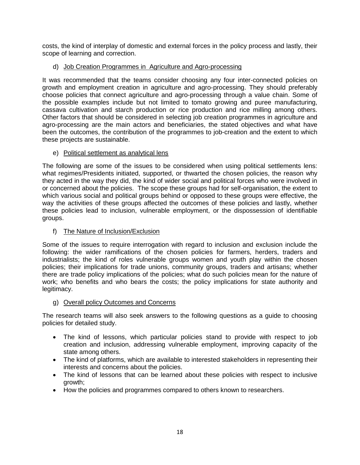costs, the kind of interplay of domestic and external forces in the policy process and lastly, their scope of learning and correction.

# d) Job Creation Programmes in Agriculture and Agro-processing

It was recommended that the teams consider choosing any four inter-connected policies on growth and employment creation in agriculture and agro-processing. They should preferably choose policies that connect agriculture and agro-processing through a value chain. Some of the possible examples include but not limited to tomato growing and puree manufacturing, cassava cultivation and starch production or rice production and rice milling among others. Other factors that should be considered in selecting job creation programmes in agriculture and agro-processing are the main actors and beneficiaries, the stated objectives and what have been the outcomes, the contribution of the programmes to job-creation and the extent to which these projects are sustainable.

# e) Political settlement as analytical lens

The following are some of the issues to be considered when using political settlements lens: what regimes/Presidents initiated, supported, or thwarted the chosen policies, the reason why they acted in the way they did, the kind of wider social and political forces who were involved in or concerned about the policies. The scope these groups had for self-organisation, the extent to which various social and political groups behind or opposed to these groups were effective, the way the activities of these groups affected the outcomes of these policies and lastly, whether these policies lead to inclusion, vulnerable employment, or the dispossession of identifiable groups.

# f) The Nature of Inclusion/Exclusion

Some of the issues to require interrogation with regard to inclusion and exclusion include the following: the wider ramifications of the chosen policies for farmers, herders, traders and industrialists; the kind of roles vulnerable groups women and youth play within the chosen policies; their implications for trade unions, community groups, traders and artisans; whether there are trade policy implications of the policies; what do such policies mean for the nature of work; who benefits and who bears the costs; the policy implications for state authority and legitimacy.

# g) Overall policy Outcomes and Concerns

The research teams will also seek answers to the following questions as a guide to choosing policies for detailed study.

- The kind of lessons, which particular policies stand to provide with respect to job creation and inclusion, addressing vulnerable employment, improving capacity of the state among others.
- The kind of platforms, which are available to interested stakeholders in representing their interests and concerns about the policies.
- The kind of lessons that can be learned about these policies with respect to inclusive growth;
- How the policies and programmes compared to others known to researchers.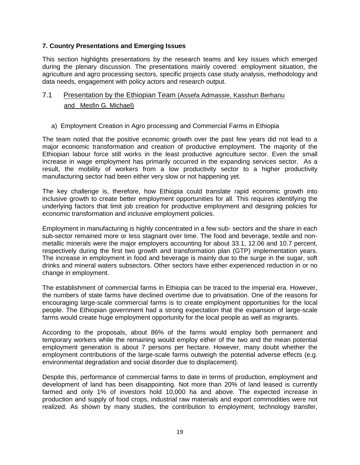# **7. Country Presentations and Emerging Issues**

This section highlights presentations by the research teams and key issues which emerged during the plenary discussion. The presentations mainly covered: employment situation, the agriculture and agro processing sectors, specific projects case study analysis, methodology and data needs, engagement with policy actors and research output.

# 7.1 Presentation by the Ethiopian Team (Assefa Admassie, Kasshun Berhanu and Mesfin G. Michael)

#### a) Employment Creation in Agro processing and Commercial Farms in Ethiopia

The team noted that the positive economic growth over the past few years did not lead to a major economic transformation and creation of productive employment. The majority of the Ethiopian labour force still works in the least productive agriculture sector. Even the small increase in wage employment has primarily occurred in the expanding services sector. As a result, the mobility of workers from a low productivity sector to a higher productivity manufacturing sector had been either very slow or not happening yet.

The key challenge is, therefore, how Ethiopia could translate rapid economic growth into inclusive growth to create better employment opportunities for all. This requires identifying the underlying factors that limit job creation for productive employment and designing policies for economic transformation and inclusive employment policies.

Employment in manufacturing is highly concentrated in a few sub- sectors and the share in each sub-sector remained more or less stagnant over time. The food and beverage, textile and nonmetallic minerals were the major employers accounting for about 33.1, 12.06 and 10.7 percent, respectively during the first two growth and transformation plan (GTP) implementation years. The increase in employment in food and beverage is mainly due to the surge in the sugar, soft drinks and mineral waters subsectors. Other sectors have either experienced reduction in or no change in employment.

The establishment of commercial farms in Ethiopia can be traced to the imperial era. However, the numbers of state farms have declined overtime due to privatisation. One of the reasons for encouraging large-scale commercial farms is to create employment opportunities for the local people. The Ethiopian government had a strong expectation that the expansion of large-scale farms would create huge employment opportunity for the local people as well as migrants.

According to the proposals, about 86% of the farms would employ both permanent and temporary workers while the remaining would employ either of the two and the mean potential employment generation is about 7 persons per hectare. However, many doubt whether the employment contributions of the large-scale farms outweigh the potential adverse effects (e.g. environmental degradation and social disorder due to displacement).

Despite this, performance of commercial farms to date in terms of production, employment and development of land has been disappointing. Not more than 20% of land leased is currently farmed and only 1% of investors hold 10,000 ha and above. The expected increase in production and supply of food crops, industrial raw materials and export commodities were not realized. As shown by many studies, the contribution to employment, technology transfer,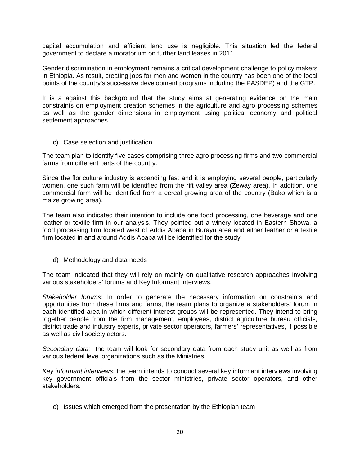capital accumulation and efficient land use is negligible. This situation led the federal government to declare a moratorium on further land leases in 2011.

Gender discrimination in employment remains a critical development challenge to policy makers in Ethiopia. As result, creating jobs for men and women in the country has been one of the focal points of the country's successive development programs including the PASDEP) and the GTP.

It is a against this background that the study aims at generating evidence on the main constraints on employment creation schemes in the agriculture and agro processing schemes as well as the gender dimensions in employment using political economy and political settlement approaches.

c) Case selection and justification

The team plan to identify five cases comprising three agro processing firms and two commercial farms from different parts of the country.

Since the floriculture industry is expanding fast and it is employing several people, particularly women, one such farm will be identified from the rift valley area (Zeway area). In addition, one commercial farm will be identified from a cereal growing area of the country (Bako which is a maize growing area).

The team also indicated their intention to include one food processing, one beverage and one leather or textile firm in our analysis. They pointed out a winery located in Eastern Showa, a food processing firm located west of Addis Ababa in Burayu area and either leather or a textile firm located in and around Addis Ababa will be identified for the study.

d) Methodology and data needs

The team indicated that they will rely on mainly on qualitative research approaches involving various stakeholders' forums and Key Informant Interviews.

*Stakeholder forums*: In order to generate the necessary information on constraints and opportunities from these firms and farms, the team plans to organize a stakeholders' forum in each identified area in which different interest groups will be represented. They intend to bring together people from the firm management, employees, district agriculture bureau officials, district trade and industry experts, private sector operators, farmers' representatives, if possible as well as civil society actors.

*Secondary data:* the team will look for secondary data from each study unit as well as from various federal level organizations such as the Ministries.

*Key informant interviews*: the team intends to conduct several key informant interviews involving key government officials from the sector ministries, private sector operators, and other stakeholders.

e) Issues which emerged from the presentation by the Ethiopian team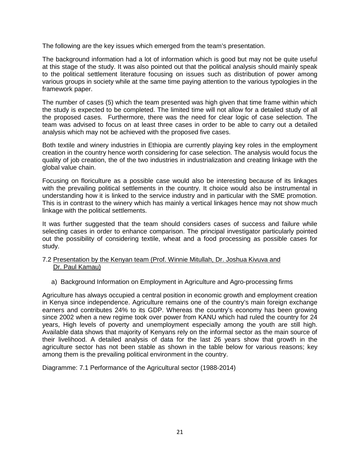The following are the key issues which emerged from the team's presentation.

The background information had a lot of information which is good but may not be quite useful at this stage of the study. It was also pointed out that the political analysis should mainly speak to the political settlement literature focusing on issues such as distribution of power among various groups in society while at the same time paying attention to the various typologies in the framework paper.

The number of cases (5) which the team presented was high given that time frame within which the study is expected to be completed. The limited time will not allow for a detailed study of all the proposed cases. Furthermore, there was the need for clear logic of case selection. The team was advised to focus on at least three cases in order to be able to carry out a detailed analysis which may not be achieved with the proposed five cases.

Both textile and winery industries in Ethiopia are currently playing key roles in the employment creation in the country hence worth considering for case selection. The analysis would focus the quality of job creation, the of the two industries in industrialization and creating linkage with the global value chain.

Focusing on floriculture as a possible case would also be interesting because of its linkages with the prevailing political settlements in the country. It choice would also be instrumental in understanding how it is linked to the service industry and in particular with the SME promotion. This is in contrast to the winery which has mainly a vertical linkages hence may not show much linkage with the political settlements.

It was further suggested that the team should considers cases of success and failure while selecting cases in order to enhance comparison. The principal investigator particularly pointed out the possibility of considering textile, wheat and a food processing as possible cases for study.

#### 7.2 Presentation by the Kenyan team (Prof. Winnie Mitullah, Dr. Joshua Kivuva and Dr. Paul Kamau)

a) Background Information on Employment in Agriculture and Agro-processing firms

Agriculture has always occupied a central position in economic growth and employment creation in Kenya since independence. Agriculture remains one of the country's main foreign exchange earners and contributes 24% to its GDP. Whereas the country's economy has been growing since 2002 when a new regime took over power from KANU which had ruled the country for 24 years, High levels of poverty and unemployment especially among the youth are still high. Available data shows that majority of Kenyans rely on the informal sector as the main source of their livelihood. A detailed analysis of data for the last 26 years show that growth in the agriculture sector has not been stable as shown in the table below for various reasons; key among them is the prevailing political environment in the country.

Diagramme: 7.1 Performance of the Agricultural sector (1988-2014)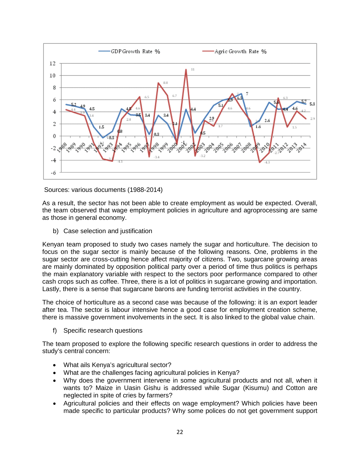

Sources: various documents (1988-2014)

As a result, the sector has not been able to create employment as would be expected. Overall, the team observed that wage employment policies in agriculture and agroprocessing are same as those in general economy.

b) Case selection and justification

Kenyan team proposed to study two cases namely the sugar and horticulture. The decision to focus on the sugar sector is mainly because of the following reasons. One, problems in the sugar sector are cross-cutting hence affect majority of citizens. Two, sugarcane growing areas are mainly dominated by opposition political party over a period of time thus politics is perhaps the main explanatory variable with respect to the sectors poor performance compared to other cash crops such as coffee. Three, there is a lot of politics in sugarcane growing and importation. Lastly, there is a sense that sugarcane barons are funding terrorist activities in the country.

The choice of horticulture as a second case was because of the following: it is an export leader after tea. The sector is labour intensive hence a good case for employment creation scheme, there is massive government involvements in the sect. It is also linked to the global value chain.

f) Specific research questions

The team proposed to explore the following specific research questions in order to address the study's central concern:

- What ails Kenya's agricultural sector?
- What are the challenges facing agricultural policies in Kenya?
- Why does the government intervene in some agricultural products and not all, when it wants to? Maize in Uasin Gishu is addressed while Sugar (Kisumu) and Cotton are neglected in spite of cries by farmers?
- Agricultural policies and their effects on wage employment? Which policies have been made specific to particular products? Why some polices do not get government support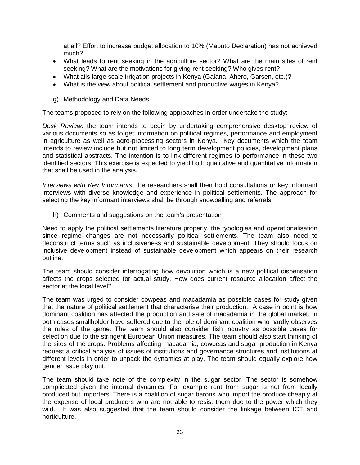at all? Effort to increase budget allocation to 10% (Maputo Declaration) has not achieved much?

- What leads to rent seeking in the agriculture sector? What are the main sites of rent seeking? What are the motivations for giving rent seeking? Who gives rent?
- What ails large scale irrigation projects in Kenya (Galana, Ahero, Garsen, etc.)?
- What is the view about political settlement and productive wages in Kenya?
- g) Methodology and Data Needs

The teams proposed to rely on the following approaches in order undertake the study:

*Desk Review*: the team intends to begin by undertaking comprehensive desktop review of various documents so as to get information on political regimes, performance and employment in agriculture as well as agro-processing sectors in Kenya. Key documents which the team intends to review include but not limited to long term development policies, development plans and statistical abstracts. The intention is to link different regimes to performance in these two identified sectors. This exercise is expected to yield both qualitative and quantitative information that shall be used in the analysis.

*Interviews with Key Informants:* the researchers shall then hold consultations or key informant interviews with diverse knowledge and experience in political settlements. The approach for selecting the key informant interviews shall be through snowballing and referrals.

h) Comments and suggestions on the team's presentation

Need to apply the political settlements literature properly, the typologies and operationalisation since regime changes are not necessarily political settlements. The team also need to deconstruct terms such as inclusiveness and sustainable development. They should focus on inclusive development instead of sustainable development which appears on their research outline.

The team should consider interrogating how devolution which is a new political dispensation affects the crops selected for actual study. How does current resource allocation affect the sector at the local level?

The team was urged to consider cowpeas and macadamia as possible cases for study given that the nature of political settlement that characterise their production. A case in point is how dominant coalition has affected the production and sale of macadamia in the global market. In both cases smallholder have suffered due to the role of dominant coalition who hardly observes the rules of the game. The team should also consider fish industry as possible cases for selection due to the stringent European Union measures. The team should also start thinking of the sites of the crops. Problems affecting macadamia, cowpeas and sugar production in Kenya request a critical analysis of issues of institutions and governance structures and institutions at different levels in order to unpack the dynamics at play. The team should equally explore how gender issue play out.

The team should take note of the complexity in the sugar sector. The sector is somehow complicated given the internal dynamics. For example rent from sugar is not from locally produced but importers. There is a coalition of sugar barons who import the produce cheaply at the expense of local producers who are not able to resist them due to the power which they wild. It was also suggested that the team should consider the linkage between ICT and horticulture.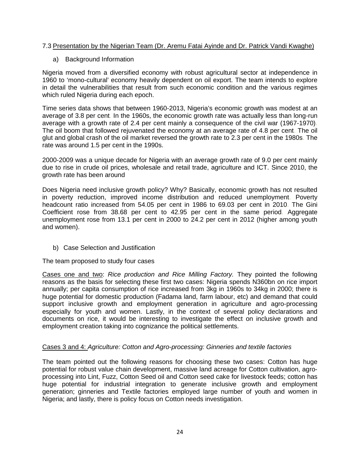# 7.3 Presentation by the Nigerian Team (Dr. Aremu Fatai Ayinde and Dr. Patrick Vandi Kwaghe)

# a) Background Information

Nigeria moved from a diversified economy with robust agricultural sector at independence in 1960 to 'mono-cultural' economy heavily dependent on oil export. The team intends to explore in detail the vulnerabilities that result from such economic condition and the various regimes which ruled Nigeria during each epoch.

Time series data shows that between 1960-2013, Nigeria's economic growth was modest at an average of 3.8 per cent. In the 1960s, the economic growth rate was actually less than long-run average with a growth rate of 2.4 per cent mainly a consequence of the civil war (1967-1970). The oil boom that followed rejuvenated the economy at an average rate of 4.8 per cent. The oil glut and global crash of the oil market reversed the growth rate to 2.3 per cent in the 1980s. The rate was around 1.5 per cent in the 1990s.

2000-2009 was a unique decade for Nigeria with an average growth rate of 9.0 per cent mainly due to rise in crude oil prices, wholesale and retail trade, agriculture and ICT. Since 2010, the growth rate has been around

Does Nigeria need inclusive growth policy? Why? Basically, economic growth has not resulted in poverty reduction, improved income distribution and reduced unemployment. Poverty headcount ratio increased from 54.05 per cent in 1986 to 69.03 per cent in 2010. The Gini Coefficient rose from 38.68 per cent to 42.95 per cent in the same period. Aggregate unemployment rose from 13.1 per cent in 2000 to 24.2 per cent in 2012 (higher among youth and women).

b) Case Selection and Justification

The team proposed to study four cases

Cases one and two: *Rice production and Rice Milling Factory.* They pointed the following reasons as the basis for selecting these first two cases: Nigeria spends N360bn on rice import annually; per capita consumption of rice increased from 3kg in 1960s to 34kg in 2000; there is huge potential for domestic production (Fadama land, farm labour, etc) and demand that could support inclusive growth and employment generation in agriculture and agro-processing especially for youth and women. Lastly, in the context of several policy declarations and documents on rice, it would be interesting to investigate the effect on inclusive growth and employment creation taking into cognizance the political settlements.

# Cases 3 and 4: *Agriculture: Cotton and Agro-processing: Ginneries and textile factories*

The team pointed out the following reasons for choosing these two cases: Cotton has huge potential for robust value chain development, massive land acreage for Cotton cultivation, agroprocessing into Lint, Fuzz, Cotton Seed oil and Cotton seed cake for livestock feeds; cotton has huge potential for industrial integration to generate inclusive growth and employment generation; ginneries and Textile factories employed large number of youth and women in Nigeria; and lastly, there is policy focus on Cotton needs investigation.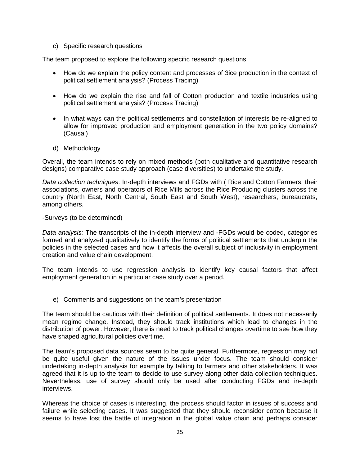c) Specific research questions

The team proposed to explore the following specific research questions:

- How do we explain the policy content and processes of 3ice production in the context of political settlement analysis? (Process Tracing)
- How do we explain the rise and fall of Cotton production and textile industries using political settlement analysis? (Process Tracing)
- In what ways can the political settlements and constellation of interests be re-aligned to allow for improved production and employment generation in the two policy domains? (Causal)
- d) Methodology

Overall, the team intends to rely on mixed methods (both qualitative and quantitative research designs) comparative case study approach (case diversities) to undertake the study.

*Data collection techniques*: In-depth interviews and FGDs with ( Rice and Cotton Farmers, their associations, owners and operators of Rice Mills across the Rice Producing clusters across the country (North East, North Central, South East and South West), researchers, bureaucrats, among others.

#### -Surveys (to be determined)

*Data analysis:* The transcripts of the in-depth interview and -FGDs would be coded, categories formed and analyzed qualitatively to identify the forms of political settlements that underpin the policies in the selected cases and how it affects the overall subject of inclusivity in employment creation and value chain development.

The team intends to use regression analysis to identify key causal factors that affect employment generation in a particular case study over a period.

e) Comments and suggestions on the team's presentation

The team should be cautious with their definition of political settlements. It does not necessarily mean regime change. Instead, they should track institutions which lead to changes in the distribution of power. However, there is need to track political changes overtime to see how they have shaped agricultural policies overtime.

The team's proposed data sources seem to be quite general. Furthermore, regression may not be quite useful given the nature of the issues under focus. The team should consider undertaking in-depth analysis for example by talking to farmers and other stakeholders. It was agreed that it is up to the team to decide to use survey along other data collection techniques. Nevertheless, use of survey should only be used after conducting FGDs and in-depth interviews.

Whereas the choice of cases is interesting, the process should factor in issues of success and failure while selecting cases. It was suggested that they should reconsider cotton because it seems to have lost the battle of integration in the global value chain and perhaps consider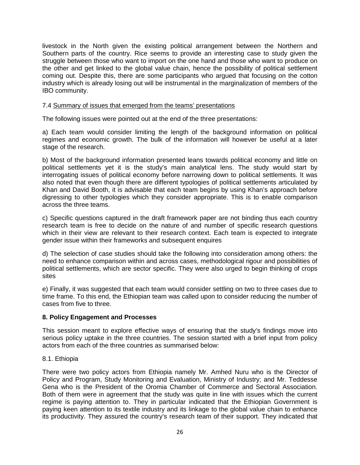livestock in the North given the existing political arrangement between the Northern and Southern parts of the country. Rice seems to provide an interesting case to study given the struggle between those who want to import on the one hand and those who want to produce on the other and get linked to the global value chain, hence the possibility of political settlement coming out. Despite this, there are some participants who argued that focusing on the cotton industry which is already losing out will be instrumental in the marginalization of members of the IBO community.

#### 7.4 Summary of issues that emerged from the teams' presentations

The following issues were pointed out at the end of the three presentations:

a) Each team would consider limiting the length of the background information on political regimes and economic growth. The bulk of the information will however be useful at a later stage of the research.

b) Most of the background information presented leans towards political economy and little on political settlements yet it is the study's main analytical lens. The study would start by interrogating issues of political economy before narrowing down to political settlements. It was also noted that even though there are different typologies of political settlements articulated by Khan and David Booth, it is advisable that each team begins by using Khan's approach before digressing to other typologies which they consider appropriate. This is to enable comparison across the three teams.

c) Specific questions captured in the draft framework paper are not binding thus each country research team is free to decide on the nature of and number of specific research questions which in their view are relevant to their research context. Each team is expected to integrate gender issue within their frameworks and subsequent enquires

d) The selection of case studies should take the following into consideration among others: the need to enhance comparison within and across cases, methodological rigour and possibilities of political settlements, which are sector specific. They were also urged to begin thinking of crops sites

e) Finally, it was suggested that each team would consider settling on two to three cases due to time frame. To this end, the Ethiopian team was called upon to consider reducing the number of cases from five to three.

# **8. Policy Engagement and Processes**

This session meant to explore effective ways of ensuring that the study's findings move into serious policy uptake in the three countries. The session started with a brief input from policy actors from each of the three countries as summarised below:

#### 8.1. Ethiopia

There were two policy actors from Ethiopia namely Mr. Amhed Nuru who is the Director of Policy and Program, Study Monitoring and Evaluation, Ministry of Industry; and Mr. Teddesse Gena who is the President of the Oromia Chamber of Commerce and Sectoral Association. Both of them were in agreement that the study was quite in line with issues which the current regime is paying attention to. They in particular indicated that the Ethiopian Government is paying keen attention to its textile industry and its linkage to the global value chain to enhance its productivity. They assured the country's research team of their support. They indicated that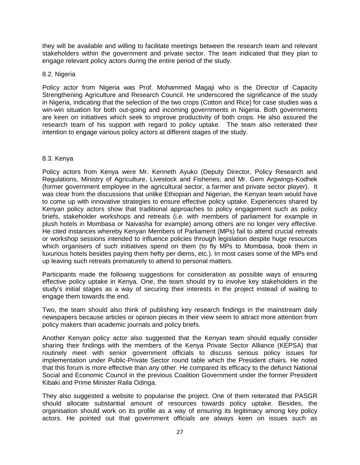they will be available and willing to facilitate meetings between the research team and relevant stakeholders within the government and private sector. The team indicated that they plan to engage relevant policy actors during the entire period of the study.

#### 8.2. Nigeria

Policy actor from Nigeria was Prof. Mohammed Magaji who is the Director of Capacity Strengthening Agriculture and Research Council. He underscored the significance of the study in Nigeria, indicating that the selection of the two crops (Cotton and Rice) for case studies was a win-win situation for both out-going and incoming governments in Nigeria. Both governments are keen on initiatives which seek to improve productivity of both crops. He also assured the research team of his support with regard to policy uptake. The team also reiterated their intention to engage various policy actors at different stages of the study.

#### 8.3. Kenya

Policy actors from Kenya were Mr. Kenneth Ayuko (Deputy Director, Policy Research and Regulations, Ministry of Agriculture, Livestock and Fisheries; and Mr. Gem Argwings-Kodhek (former government employee in the agricultural sector, a farmer and private sector player). It was clear from the discussions that unlike Ethiopian and Nigerian, the Kenyan team would have to come up with innovative strategies to ensure effective policy uptake. Experiences shared by Kenyan policy actors show that traditional approaches to policy engagement such as policy briefs, stakeholder workshops and retreats (i.e. with members of parliament for example in plush hotels in Mombasa or Naivasha for example) among others are no longer very effective. He cited instances whereby Kenyan Members of Parliament (MPs) fail to attend crucial retreats or workshop sessions intended to influence policies through legislation despite huge resources which organisers of such initiatives spend on them (to fly MPs to Mombasa, book them in luxurious hotels besides paying them hefty per diems, etc.). In most cases some of the MPs end up leaving such retreats prematurely to attend to personal matters.

Participants made the following suggestions for consideration as possible ways of ensuring effective policy uptake in Kenya. One, the team should try to involve key stakeholders in the study's initial stages as a way of securing their interests in the project instead of waiting to engage them towards the end.

Two, the team should also think of publishing key research findings in the mainstream daily newspapers because articles or opinion pieces in their view seem to attract more attention from policy makers than academic journals and policy briefs.

Another Kenyan policy actor also suggested that the Kenyan team should equally consider sharing their findings with the members of the Kenya Private Sector Alliance (KEPSA) that routinely meet with senior government officials to discuss serious policy issues for implementation under Public-Private Sector round table which the President chairs. He noted that this forum is more effective than any other. He compared its efficacy to the defunct National Social and Economic Council in the previous Coalition Government under the former President Kibaki and Prime Minister Raila Odinga.

They also suggested a website to popularise the project. One of them reiterated that PASGR should allocate substantial amount of resources towards policy uptake. Besides, the organisation should work on its profile as a way of ensuring its legitimacy among key policy actors. He pointed out that government officials are always keen on issues such as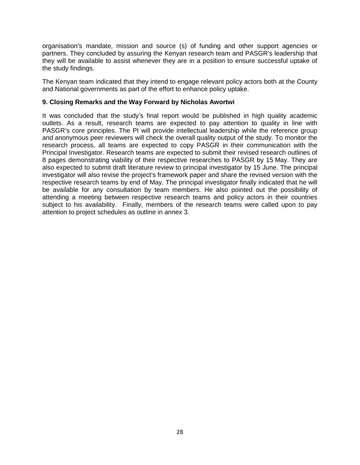organisation's mandate, mission and source (s) of funding and other support agencies or partners. They concluded by assuring the Kenyan research team and PASGR's leadership that they will be available to assist whenever they are in a position to ensure successful uptake of the study findings.

The Kenyan team indicated that they intend to engage relevant policy actors both at the County and National governments as part of the effort to enhance policy uptake.

#### **9. Closing Remarks and the Way Forward by Nicholas Awortwi**

It was concluded that the study's final report would be published in high quality academic outlets. As a result, research teams are expected to pay attention to quality in line with PASGR's core principles. The PI will provide intellectual leadership while the reference group and anonymous peer reviewers will check the overall quality output of the study. To monitor the research process, all teams are expected to copy PASGR in their communication with the Principal Investigator. Research teams are expected to submit their revised research outlines of 8 pages demonstrating viability of their respective researches to PASGR by 15 May. They are also expected to submit draft literature review to principal investigator by 15 June. The principal investigator will also revise the project's framework paper and share the revised version with the respective research teams by end of May. The principal investigator finally indicated that he will be available for any consultation by team members. He also pointed out the possibility of attending a meeting between respective research teams and policy actors in their countries subject to his availability. Finally, members of the research teams were called upon to pay attention to project schedules as outline in annex 3.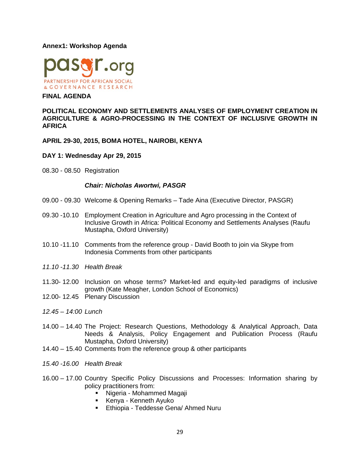#### **Annex1: Workshop Agenda**



#### **FINAL AGENDA**

#### **POLITICAL ECONOMY AND SETTLEMENTS ANALYSES OF EMPLOYMENT CREATION IN AGRICULTURE & AGRO-PROCESSING IN THE CONTEXT OF INCLUSIVE GROWTH IN AFRICA**

**APRIL 29-30, 2015, BOMA HOTEL, NAIROBI, KENYA**

#### **DAY 1: Wednesday Apr 29, 2015**

08.30 - 08.50 Registration

#### *Chair: Nicholas Awortwi, PASGR*

- 09.00 09.30 Welcome & Opening Remarks Tade Aina (Executive Director, PASGR)
- 09.30 -10.10 Employment Creation in Agriculture and Agro processing in the Context of Inclusive Growth in Africa: Political Economy and Settlements Analyses (Raufu Mustapha, Oxford University)
- 10.10 -11.10 Comments from the reference group David Booth to join via Skype from Indonesia Comments from other participants
- *11.10 -11.30 Health Break*
- 11.30- 12.00 Inclusion on whose terms? Market-led and equity-led paradigms of inclusive growth (Kate Meagher, London School of Economics)
- 12.00- 12.45 Plenary Discussion
- *12.45 – 14:00 Lunch*
- 14.00 14.40 The Project: Research Questions, Methodology & Analytical Approach, Data Needs & Analysis, Policy Engagement and Publication Process (Raufu Mustapha, Oxford University)
- 14.40 15.40 Comments from the reference group & other participants
- *15.40 -16.00 Health Break*
- 16.00 17.00 Country Specific Policy Discussions and Processes: Information sharing by policy practitioners from:
	- Nigeria Mohammed Magaji
	- **Kenya Kenneth Ayuko**
	- Ethiopia Teddesse Gena/ Ahmed Nuru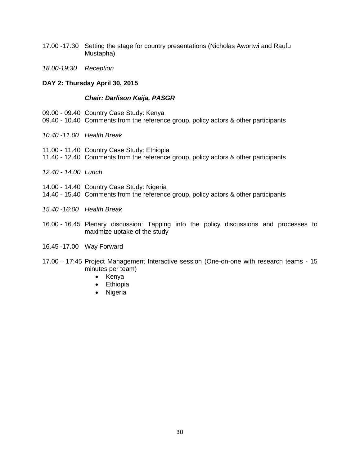- 17.00 -17.30 Setting the stage for country presentations (Nicholas Awortwi and Raufu Mustapha)
- *18.00-19:30 Reception*

#### **DAY 2: Thursday April 30, 2015**

#### *Chair: Darlison Kaija, PASGR*

- 09.00 09.40 Country Case Study: Kenya
- 09.40 10.40 Comments from the reference group, policy actors & other participants
- *10.40 -11.00 Health Break*
- 11.00 11.40 Country Case Study: Ethiopia
- 11.40 12.40 Comments from the reference group, policy actors & other participants
- *12.40 - 14.00 Lunch*
- 14.00 14.40 Country Case Study: Nigeria
- 14.40 15.40 Comments from the reference group, policy actors & other participants
- *15.40 -16:00 Health Break*
- 16.00 16.45 Plenary discussion: Tapping into the policy discussions and processes to maximize uptake of the study
- 16.45 -17.00 Way Forward
- 17.00 17:45 Project Management Interactive session (One-on-one with research teams 15 minutes per team)
	- Kenya
	- Ethiopia
	- Nigeria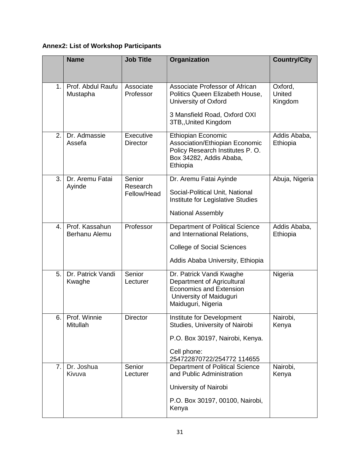# **Annex2: List of Workshop Participants**

|    | <b>Name</b>                     | <b>Job Title</b>                  | Organization                                                                                                                                      | <b>Country/City</b>          |
|----|---------------------------------|-----------------------------------|---------------------------------------------------------------------------------------------------------------------------------------------------|------------------------------|
| 1. | Prof. Abdul Raufu<br>Mustapha   | Associate<br>Professor            | Associate Professor of African<br>Politics Queen Elizabeth House,<br>University of Oxford<br>3 Mansfield Road, Oxford OXI<br>3TB,, United Kingdom | Oxford,<br>United<br>Kingdom |
| 2. | Dr. Admassie<br>Assefa          | Executive<br><b>Director</b>      | <b>Ethiopian Economic</b><br>Association/Ethiopian Economic<br>Policy Research Institutes P.O.<br>Box 34282, Addis Ababa,<br>Ethiopia             | Addis Ababa,<br>Ethiopia     |
| 3. | Dr. Aremu Fatai<br>Ayinde       | Senior<br>Research<br>Fellow/Head | Dr. Aremu Fatai Ayinde<br>Social-Political Unit, National<br>Institute for Legislative Studies<br><b>National Assembly</b>                        | Abuja, Nigeria               |
| 4. | Prof. Kassahun<br>Berhanu Alemu | Professor                         | Department of Political Science<br>and International Relations,<br><b>College of Social Sciences</b><br>Addis Ababa University, Ethiopia          | Addis Ababa,<br>Ethiopia     |
| 5. | Dr. Patrick Vandi<br>Kwaghe     | Senior<br>Lecturer                | Dr. Patrick Vandi Kwaghe<br>Department of Agricultural<br><b>Economics and Extension</b><br>University of Maiduguri<br>Maiduguri, Nigeria         | Nigeria                      |
| 6. | Prof. Winnie<br>Mitullah        | Director                          | Institute for Development<br>Studies, University of Nairobi<br>P.O. Box 30197, Nairobi, Kenya.<br>Cell phone:<br>254722870722/254772 114655       | Nairobi,<br>Kenya            |
| 7. | Dr. Joshua<br>Kivuva            | Senior<br>Lecturer                | <b>Department of Political Science</b><br>and Public Administration<br>University of Nairobi<br>P.O. Box 30197, 00100, Nairobi,<br>Kenya          | Nairobi,<br>Kenya            |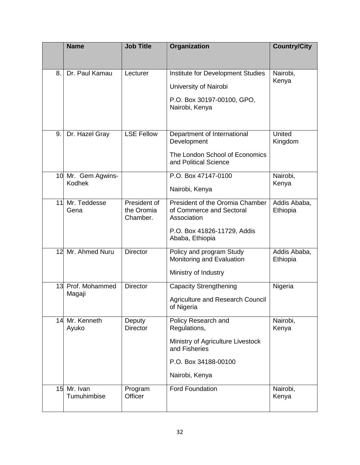|    | <b>Name</b>                  | <b>Job Title</b>                       | Organization                                                               | <b>Country/City</b>      |
|----|------------------------------|----------------------------------------|----------------------------------------------------------------------------|--------------------------|
|    |                              |                                        |                                                                            |                          |
| 8. | Dr. Paul Kamau               | Lecturer                               | Institute for Development Studies                                          | Nairobi,<br>Kenya        |
|    |                              |                                        | University of Nairobi                                                      |                          |
|    |                              |                                        | P.O. Box 30197-00100, GPO,<br>Nairobi, Kenya                               |                          |
|    |                              |                                        |                                                                            |                          |
| 9. | Dr. Hazel Gray               | <b>LSE Fellow</b>                      | Department of International<br>Development                                 | United<br>Kingdom        |
|    |                              |                                        | The London School of Economics<br>and Political Science                    |                          |
|    | 10 Mr. Gem Agwins-<br>Kodhek |                                        | P.O. Box 47147-0100                                                        | Nairobi,                 |
|    |                              |                                        | Nairobi, Kenya                                                             | Kenya                    |
| 11 | Mr. Teddesse<br>Gena         | President of<br>the Oromia<br>Chamber. | President of the Oromia Chamber<br>of Commerce and Sectoral<br>Association | Addis Ababa,<br>Ethiopia |
|    |                              |                                        | P.O. Box 41826-11729, Addis<br>Ababa, Ethiopia                             |                          |
| 12 | Mr. Ahmed Nuru               | <b>Director</b>                        | Policy and program Study<br>Monitoring and Evaluation                      | Addis Ababa,<br>Ethiopia |
|    |                              |                                        | Ministry of Industry                                                       |                          |
| 13 | Prof. Mohammed<br>Magaji     | <b>Director</b>                        | <b>Capacity Strengthening</b>                                              | Nigeria                  |
|    |                              |                                        | <b>Agriculture and Research Council</b><br>of Nigeria                      |                          |
|    | 14 Mr. Kenneth<br>Ayuko      | Deputy<br><b>Director</b>              | Policy Research and<br>Regulations,                                        | Nairobi,<br>Kenya        |
|    |                              |                                        | Ministry of Agriculture Livestock<br>and Fisheries                         |                          |
|    |                              |                                        | P.O. Box 34188-00100                                                       |                          |
|    |                              |                                        | Nairobi, Kenya                                                             |                          |
| 15 | Mr. Ivan<br>Tumuhimbise      | Program<br>Officer                     | <b>Ford Foundation</b>                                                     | Nairobi,<br>Kenya        |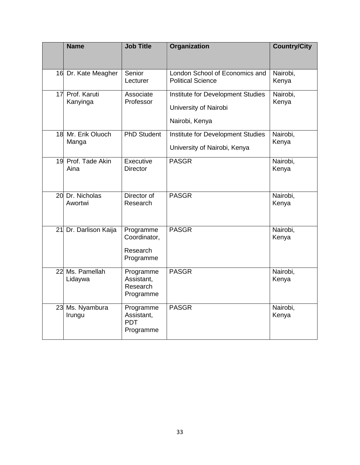| <b>Name</b>                 | <b>Job Title</b>                                   | Organization                                                                 | <b>Country/City</b> |
|-----------------------------|----------------------------------------------------|------------------------------------------------------------------------------|---------------------|
| 16 Dr. Kate Meagher         | Senior<br>Lecturer                                 | London School of Economics and<br><b>Political Science</b>                   | Nairobi,<br>Kenya   |
| 17 Prof. Karuti<br>Kanyinga | Associate<br>Professor                             | Institute for Development Studies<br>University of Nairobi<br>Nairobi, Kenya | Nairobi,<br>Kenya   |
| 18 Mr. Erik Oluoch<br>Manga | <b>PhD Student</b>                                 | Institute for Development Studies<br>University of Nairobi, Kenya            | Nairobi,<br>Kenya   |
| 19 Prof. Tade Akin<br>Aina  | Executive<br><b>Director</b>                       | <b>PASGR</b>                                                                 | Nairobi,<br>Kenya   |
| 20 Dr. Nicholas<br>Awortwi  | Director of<br>Research                            | <b>PASGR</b>                                                                 | Nairobi,<br>Kenya   |
| 21 Dr. Darlison Kaija       | Programme<br>Coordinator,<br>Research<br>Programme | <b>PASGR</b>                                                                 | Nairobi,<br>Kenya   |
| 22 Ms. Pamellah<br>Lidaywa  | Programme<br>Assistant,<br>Research<br>Programme   | <b>PASGR</b>                                                                 | Nairobi,<br>Kenya   |
| 23 Ms. Nyambura<br>Irungu   | Programme<br>Assistant,<br><b>PDT</b><br>Programme | <b>PASGR</b>                                                                 | Nairobi,<br>Kenya   |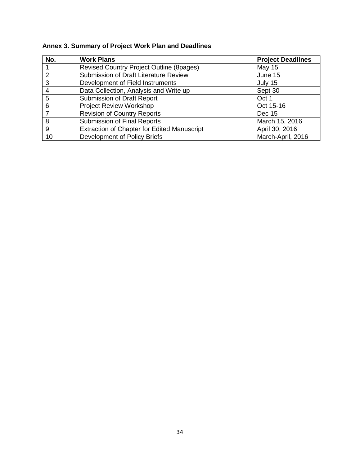| No.           | <b>Work Plans</b>                                  | <b>Project Deadlines</b> |
|---------------|----------------------------------------------------|--------------------------|
|               | Revised Country Project Outline (8pages)           | <b>May 15</b>            |
| $\mathcal{P}$ | Submission of Draft Literature Review              | June 15                  |
| 3             | Development of Field Instruments                   | July 15                  |
| 4             | Data Collection, Analysis and Write up             | Sept 30                  |
| 5             | Submission of Draft Report                         | Oct 1                    |
| 6             | <b>Project Review Workshop</b>                     | Oct 15-16                |
|               | Revision of Country Reports                        | Dec 15                   |
| 8             | <b>Submission of Final Reports</b>                 | March 15, 2016           |
| 9             | <b>Extraction of Chapter for Edited Manuscript</b> | April 30, 2016           |
| 10            | Development of Policy Briefs                       | March-April, 2016        |

# **Annex 3. Summary of Project Work Plan and Deadlines**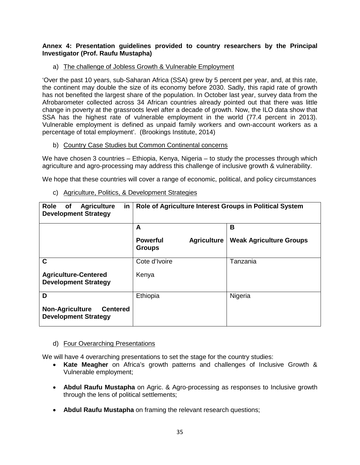# **Annex 4: Presentation guidelines provided to country researchers by the Principal Investigator (Prof. Raufu Mustapha)**

a) The challenge of Jobless Growth & Vulnerable Employment

'Over the past 10 years, sub-Saharan Africa (SSA) grew by 5 percent per year, and, at this rate, the continent may double the size of its economy before 2030. Sadly, this rapid rate of growth has not benefited the largest share of the population. In October last year, survey data from the Afrobarometer collected across 34 African countries already pointed out that there was little change in poverty at the grassroots level after a decade of growth. Now, the ILO data show that SSA has the highest rate of vulnerable employment in the world (77.4 percent in 2013). Vulnerable employment is defined as unpaid family workers and own-account workers as a percentage of total employment'. (Brookings Institute, 2014)

b) Country Case Studies but Common Continental concerns

We have chosen 3 countries – Ethiopia, Kenya, Nigeria – to study the processes through which agriculture and agro-processing may address this challenge of inclusive growth & vulnerability.

We hope that these countries will cover a range of economic, political, and policy circumstances

| Role<br><b>Agriculture</b><br><b>of</b><br>in<br><b>Development Strategy</b> | Role of Agriculture Interest Groups in Political System |                                |  |
|------------------------------------------------------------------------------|---------------------------------------------------------|--------------------------------|--|
|                                                                              | A                                                       | B                              |  |
|                                                                              | <b>Powerful</b><br><b>Agriculture</b><br><b>Groups</b>  | <b>Weak Agriculture Groups</b> |  |
| $\mathbf C$                                                                  | Cote d'Ivoire                                           | Tanzania                       |  |
| <b>Agriculture-Centered</b><br><b>Development Strategy</b>                   | Kenya                                                   |                                |  |
| D                                                                            | Ethiopia                                                | Nigeria                        |  |
| <b>Non-Agriculture</b><br><b>Centered</b><br><b>Development Strategy</b>     |                                                         |                                |  |

c) Agriculture, Politics, & Development Strategies

# d) Four Overarching Presentations

We will have 4 overarching presentations to set the stage for the country studies:

- **Kate Meagher** on Africa's growth patterns and challenges of Inclusive Growth & Vulnerable employment;
- **Abdul Raufu Mustapha** on Agric. & Agro-processing as responses to Inclusive growth through the lens of political settlements;
- **Abdul Raufu Mustapha** on framing the relevant research questions;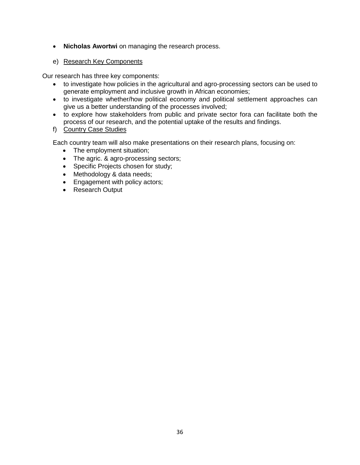- **Nicholas Awortwi** on managing the research process.
- e) Research Key Components

Our research has three key components:

- to investigate how policies in the agricultural and agro-processing sectors can be used to generate employment and inclusive growth in African economies;
- to investigate whether/how political economy and political settlement approaches can give us a better understanding of the processes involved;
- to explore how stakeholders from public and private sector fora can facilitate both the process of our research, and the potential uptake of the results and findings.
- f) Country Case Studies

Each country team will also make presentations on their research plans, focusing on:

- The employment situation;
- The agric. & agro-processing sectors;
- Specific Projects chosen for study;
- Methodology & data needs;
- Engagement with policy actors;
- Research Output